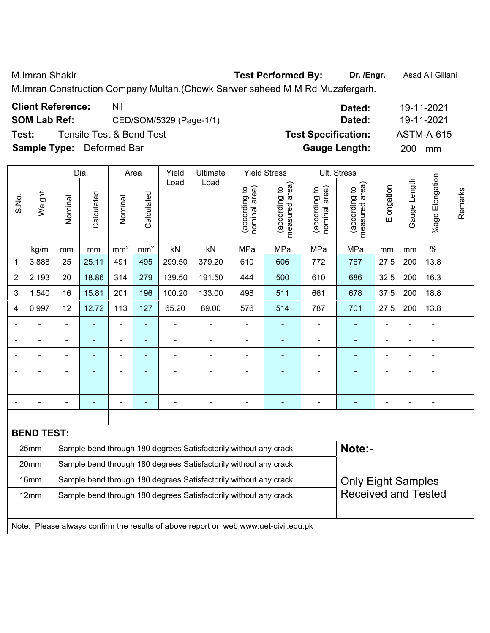M.Imran Shakir **Test Performed By: Dr. /Engr.** Asad Ali Gillani

M.Imran Construction Company Multan.(Chowk Sarwer saheed M M Rd Muzafergarh.

| <b>Client Reference:</b><br>Nil<br>Dated: |                                                                                                        |                |                                     |                 |                                                   |                         |                                                                                     |                                |                                 |                                |                                 | 19-11-2021     |              |                          |         |
|-------------------------------------------|--------------------------------------------------------------------------------------------------------|----------------|-------------------------------------|-----------------|---------------------------------------------------|-------------------------|-------------------------------------------------------------------------------------|--------------------------------|---------------------------------|--------------------------------|---------------------------------|----------------|--------------|--------------------------|---------|
|                                           | <b>SOM Lab Ref:</b>                                                                                    |                |                                     |                 |                                                   | CED/SOM/5329 (Page-1/1) |                                                                                     |                                |                                 |                                | Dated:                          |                |              | 19-11-2021               |         |
| Test:                                     |                                                                                                        |                | <b>Tensile Test &amp; Bend Test</b> |                 |                                                   |                         |                                                                                     |                                |                                 | <b>Test Specification:</b>     |                                 |                |              | <b>ASTM-A-615</b>        |         |
|                                           | <b>Sample Type:</b>                                                                                    |                | Deformed Bar                        |                 |                                                   |                         |                                                                                     |                                |                                 | <b>Gauge Length:</b>           |                                 |                | 200          | mm                       |         |
|                                           |                                                                                                        |                | Dia.                                | Area            |                                                   | Yield                   | Ultimate                                                                            |                                | <b>Yield Stress</b>             |                                | Ult. Stress                     |                |              |                          |         |
| S.No.                                     | Weight                                                                                                 | Nominal        | Calculated                          | Nominal         | Calculated                                        | Load                    | Load                                                                                | nominal area)<br>(according to | measured area)<br>(according to | (according to<br>nominal area) | measured area)<br>(according to | Elongation     | Gauge Length | %age Elongation          | Remarks |
|                                           | kg/m                                                                                                   | mm             | mm                                  | mm <sup>2</sup> | mm <sup>2</sup>                                   | kN                      | kN                                                                                  | MPa                            | MPa                             | MPa                            | MPa                             | mm             | mm           | $\%$                     |         |
| 1                                         | 3.888                                                                                                  | 25             | 25.11                               | 491             | 495                                               | 299.50                  | 379.20                                                                              | 610                            | 606                             | 772                            | 767                             | 27.5           | 200          | 13.8                     |         |
| $\overline{2}$                            | 2.193                                                                                                  | 20             | 18.86                               | 314             | 279                                               | 139.50                  | 191.50                                                                              | 444                            | 500                             | 610                            | 686                             | 32.5           | 200          | 16.3                     |         |
| 3                                         | 1.540                                                                                                  | 16             | 15.81                               | 201             | 196                                               | 100.20                  | 133.00                                                                              | 498                            | 511                             | 661                            | 678                             | 37.5           | 200          | 18.8                     |         |
| 4                                         | 0.997                                                                                                  | 12             | 12.72                               | 113             | 127<br>65.20<br>89.00<br>576<br>514<br>787<br>701 |                         |                                                                                     |                                |                                 |                                |                                 |                | 200          | 13.8                     |         |
|                                           |                                                                                                        | $\blacksquare$ |                                     | $\blacksquare$  | $\blacksquare$                                    |                         | $\overline{\phantom{a}}$                                                            | $\blacksquare$                 | ۰                               |                                | $\blacksquare$                  | $\blacksquare$ | L,           | $\blacksquare$           |         |
|                                           |                                                                                                        |                |                                     |                 | ٠                                                 |                         | ÷                                                                                   |                                |                                 |                                |                                 |                |              | $\blacksquare$           |         |
|                                           |                                                                                                        | ÷              |                                     | ۰               | ٠                                                 |                         | $\blacksquare$                                                                      |                                |                                 |                                |                                 |                |              | $\blacksquare$           |         |
| $\overline{a}$                            |                                                                                                        | ä,             | $\blacksquare$                      | $\blacksquare$  | $\overline{\phantom{0}}$                          |                         | ÷                                                                                   |                                | ۰                               |                                | ٠                               | $\blacksquare$ | Ē,           | $\blacksquare$           |         |
|                                           |                                                                                                        | -              |                                     | $\blacksquare$  | $\overline{\phantom{0}}$                          |                         | ÷                                                                                   |                                |                                 |                                |                                 |                | ÷            | $\overline{\phantom{a}}$ |         |
|                                           |                                                                                                        | ä,             |                                     | ۰               | $\overline{\phantom{0}}$                          |                         | ÷                                                                                   | $\blacksquare$                 | $\overline{\phantom{0}}$        |                                | ٠                               | $\blacksquare$ |              | $\blacksquare$           |         |
|                                           |                                                                                                        |                |                                     |                 |                                                   |                         |                                                                                     |                                |                                 |                                |                                 |                |              |                          |         |
|                                           | <b>BEND TEST:</b>                                                                                      |                |                                     |                 |                                                   |                         |                                                                                     |                                |                                 |                                |                                 |                |              |                          |         |
|                                           | 25mm                                                                                                   |                |                                     |                 |                                                   |                         | Sample bend through 180 degrees Satisfactorily without any crack                    |                                |                                 |                                | Note:-                          |                |              |                          |         |
|                                           | 20mm                                                                                                   |                |                                     |                 |                                                   |                         | Sample bend through 180 degrees Satisfactorily without any crack                    |                                |                                 |                                |                                 |                |              |                          |         |
|                                           | 16mm                                                                                                   |                |                                     |                 |                                                   |                         | Sample bend through 180 degrees Satisfactorily without any crack                    |                                |                                 |                                | <b>Only Eight Samples</b>       |                |              |                          |         |
|                                           | <b>Received and Tested</b><br>Sample bend through 180 degrees Satisfactorily without any crack<br>12mm |                |                                     |                 |                                                   |                         |                                                                                     |                                |                                 |                                |                                 |                |              |                          |         |
|                                           |                                                                                                        |                |                                     |                 |                                                   |                         |                                                                                     |                                |                                 |                                |                                 |                |              |                          |         |
|                                           |                                                                                                        |                |                                     |                 |                                                   |                         | Note: Please always confirm the results of above report on web www.uet-civil.edu.pk |                                |                                 |                                |                                 |                |              |                          |         |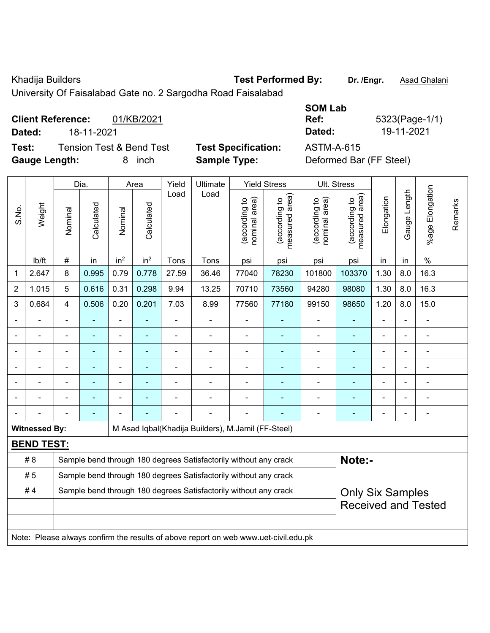Khadija Builders **Test Performed By:** Dr. /Engr. **Asad Ghalani** 

 $\overline{\phantom{a}}$ 

 $\overline{\phantom{a}}$ 

 $\overline{\mathsf{L}}$ 

 $\overline{\mathbf{r}}$ 

University Of Faisalabad Gate no. 2 Sargodha Road Faisalabad

 $\overline{\phantom{a}}$ 

**Client Reference:** 01/KB/2021 **Dated:** 18-11-2021 **Dated:** 19-11-2021 **Test:** Tension Test & Bend Test **Test Specification:** ASTM-A-615

 $\top$ 

**Gauge Length:** 8 inch **Sample Type:** Deformed Bar (FF Steel)

 $\overline{\mathbf{T}}$ 

 $\top$ 

 $\top$ 

**SOM Lab Ref:** 5323(Page-1/1)

 $\overline{1}$ 

 $\overline{\phantom{a}}$ 

|                |                      |                | Dia.           |                 | Area            | Yield | Ultimate                                                                            |                                | <b>Yield Stress</b>             |                                | Ult. Stress                                 |                |                          |                 |         |
|----------------|----------------------|----------------|----------------|-----------------|-----------------|-------|-------------------------------------------------------------------------------------|--------------------------------|---------------------------------|--------------------------------|---------------------------------------------|----------------|--------------------------|-----------------|---------|
| S.No.          | Weight               | Nominal        | Calculated     | Nominal         | Calculated      | Load  | Load                                                                                | nominal area)<br>(according to | measured area)<br>(according to | nominal area)<br>(according to | (according to<br>measured area)<br>measured | Elongation     | Gauge Length             | %age Elongation | Remarks |
|                | lb/ft                | $\#$           | in             | in <sup>2</sup> | in <sup>2</sup> | Tons  | Tons                                                                                | psi                            | psi                             | psi                            | psi                                         | in             | in                       | $\%$            |         |
| 1              | 2.647                | 8              | 0.995          | 0.79            | 0.778           | 27.59 | 36.46                                                                               | 77040                          | 78230                           | 101800                         | 103370                                      | 1.30           | 8.0                      | 16.3            |         |
| $\overline{2}$ | 1.015                | 5              | 0.616          | 0.31            | 0.298           | 9.94  | 13.25                                                                               | 70710                          | 73560                           | 94280                          | 98080                                       | 1.30           | 8.0                      | 16.3            |         |
| 3              | 0.684                | 4              | 0.506          | 0.20            | 0.201           | 7.03  | 8.99                                                                                | 77560                          | 77180                           | 99150                          | 98650                                       | 1.20           | 8.0                      | 15.0            |         |
|                |                      | $\blacksquare$ | ٠              | $\blacksquare$  | ÷               | ÷,    | $\blacksquare$                                                                      | $\blacksquare$                 | ÷                               | $\overline{a}$                 | $\overline{\phantom{a}}$                    | $\blacksquare$ | ÷.                       | $\blacksquare$  |         |
|                |                      |                |                |                 |                 |       |                                                                                     | $\blacksquare$                 |                                 |                                | $\blacksquare$                              | L,             |                          |                 |         |
|                |                      |                |                |                 |                 | ÷     |                                                                                     |                                |                                 | ÷                              | ٠                                           | Ē,             | ۰                        |                 |         |
|                |                      | $\blacksquare$ | $\blacksquare$ | ÷               | ä,              | ÷     | $\blacksquare$                                                                      | $\blacksquare$                 | ÷                               |                                | $\overline{\phantom{a}}$                    | $\blacksquare$ | $\frac{1}{2}$            |                 |         |
|                |                      | $\blacksquare$ | ٠              | ÷               | ۰               | ÷     | $\blacksquare$                                                                      | $\overline{\phantom{0}}$       | ۰                               | $\blacksquare$                 | $\overline{\phantom{a}}$                    | $\blacksquare$ | $\overline{a}$           | $\blacksquare$  |         |
|                |                      |                |                |                 | ä,              |       |                                                                                     | $\blacksquare$                 | ÷                               |                                | $\blacksquare$                              | Ē,             | $\blacksquare$           |                 |         |
|                |                      |                |                |                 |                 |       |                                                                                     |                                |                                 |                                | $\overline{a}$                              | ۳              | $\overline{\phantom{0}}$ |                 |         |
|                | <b>Witnessed By:</b> |                |                |                 |                 |       | M Asad Iqbal(Khadija Builders), M.Jamil (FF-Steel)                                  |                                |                                 |                                |                                             |                |                          |                 |         |
|                | <b>BEND TEST:</b>    |                |                |                 |                 |       |                                                                                     |                                |                                 |                                |                                             |                |                          |                 |         |
|                | #8                   |                |                |                 |                 |       | Sample bend through 180 degrees Satisfactorily without any crack                    |                                |                                 |                                | Note:-                                      |                |                          |                 |         |
|                | #5                   |                |                |                 |                 |       | Sample bend through 180 degrees Satisfactorily without any crack                    |                                |                                 |                                |                                             |                |                          |                 |         |
|                | #4                   |                |                |                 |                 |       | Sample bend through 180 degrees Satisfactorily without any crack                    |                                |                                 |                                | <b>Only Six Samples</b>                     |                |                          |                 |         |
|                |                      |                |                |                 |                 |       |                                                                                     |                                |                                 |                                | <b>Received and Tested</b>                  |                |                          |                 |         |
|                |                      |                |                |                 |                 |       |                                                                                     |                                |                                 |                                |                                             |                |                          |                 |         |
|                |                      |                |                |                 |                 |       | Note: Please always confirm the results of above report on web www.uet-civil.edu.pk |                                |                                 |                                |                                             |                |                          |                 |         |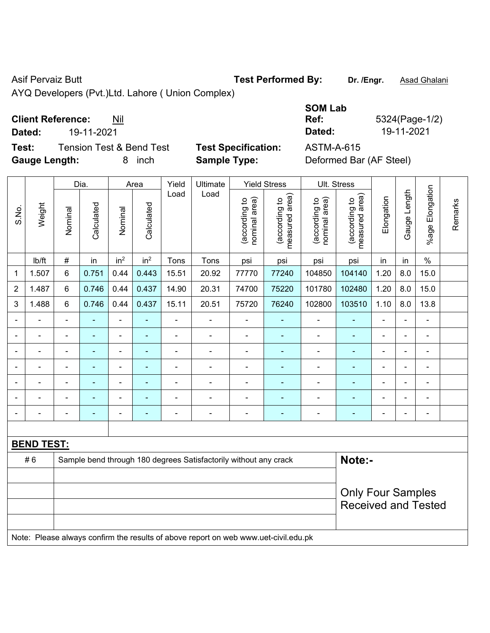Asif Pervaiz Butt **Test Performed By:** Dr. /Engr. **Asad Ghalani** 

AYQ Developers (Pvt.)Ltd. Lahore ( Union Complex)

## **Client Reference:** Nil

**Dated:** 19-11-2021 **Dated:** 19-11-2021

**Test:** Tension Test & Bend Test **Test Specification:** ASTM-A-615 **Gauge Length:** 8 inch **Sample Type:** Deformed Bar (AF Steel)

| <b>SOM Lab</b>              |                |
|-----------------------------|----------------|
| Ref:                        | 5324(Page-1/2) |
| Dated:                      | 19-11-2021     |
| $\Delta$ STM_ $\Delta$ _615 |                |

|                |                   |                | Dia.                     |                 | Area            | Yield                    | Ultimate                                                                            |                                | <b>Yield Stress</b>             |                                | Ult. Stress                                            |                |                |                 |         |
|----------------|-------------------|----------------|--------------------------|-----------------|-----------------|--------------------------|-------------------------------------------------------------------------------------|--------------------------------|---------------------------------|--------------------------------|--------------------------------------------------------|----------------|----------------|-----------------|---------|
| S.No.          | Weight            | Nominal        | Calculated               | Nominal         | Calculated      | Load                     | Load                                                                                | nominal area)<br>(according to | (according to<br>measured area) | (according to<br>nominal area) | (according to<br>measured area)                        | Elongation     | Gauge Length   | %age Elongation | Remarks |
|                | Ib/ft             | #              | in                       | in <sup>2</sup> | in <sup>2</sup> | Tons                     | Tons                                                                                | psi                            | psi                             | psi                            | psi                                                    | in             | in             | $\%$            |         |
| 1              | 1.507             | 6              | 0.751                    | 0.44            | 0.443           | 15.51                    | 20.92                                                                               | 77770                          | 77240                           | 104850                         | 104140                                                 | 1.20           | 8.0            | 15.0            |         |
| $\overline{2}$ | 1.487             | 6              | 0.746                    | 0.44            | 0.437           | 14.90                    | 20.31                                                                               | 74700                          | 75220                           | 101780                         | 102480                                                 | 1.20           | 8.0            | 15.0            |         |
| 3              | 1.488             | 6              | 0.746                    | 0.44            | 0.437           | 15.11                    | 20.51                                                                               | 75720                          | 76240                           | 102800                         | 103510                                                 | 1.10           | 8.0            | 13.8            |         |
|                |                   | $\blacksquare$ |                          |                 |                 |                          | Ě.                                                                                  | $\blacksquare$                 |                                 | $\overline{a}$                 |                                                        |                |                |                 |         |
|                | $\blacksquare$    | $\blacksquare$ | ٠                        | ÷               | $\blacksquare$  | $\blacksquare$           | ä,                                                                                  | $\blacksquare$                 | ۰                               | $\overline{\phantom{a}}$       | $\blacksquare$                                         | $\blacksquare$ | $\blacksquare$ | $\blacksquare$  |         |
|                | $\overline{a}$    | $\blacksquare$ | $\overline{\phantom{0}}$ | ÷               | ٠               | $\overline{\phantom{0}}$ | $\overline{\phantom{0}}$                                                            | $\overline{a}$                 | ۰                               | $\blacksquare$                 | ۰                                                      | $\blacksquare$ |                | $\overline{a}$  |         |
|                | $\blacksquare$    | $\blacksquare$ | ٠                        | $\blacksquare$  | $\blacksquare$  | $\blacksquare$           | $\blacksquare$                                                                      | $\blacksquare$                 | ۰                               | $\blacksquare$                 | ÷                                                      | $\blacksquare$ |                | $\blacksquare$  |         |
|                |                   |                |                          |                 | $\blacksquare$  | $\blacksquare$           | Ē,                                                                                  | $\blacksquare$                 |                                 | $\blacksquare$                 | ÷                                                      |                |                | $\blacksquare$  |         |
|                |                   |                |                          |                 |                 |                          |                                                                                     | $\blacksquare$                 |                                 | $\overline{\phantom{0}}$       |                                                        |                |                | $\blacksquare$  |         |
|                |                   | ä,             |                          | ÷               | ٠               | $\blacksquare$           | Ē,                                                                                  | $\blacksquare$                 | ۰                               | $\overline{\phantom{a}}$       | $\overline{a}$                                         | $\blacksquare$ |                | $\blacksquare$  |         |
|                |                   |                |                          |                 |                 |                          |                                                                                     |                                |                                 |                                |                                                        |                |                |                 |         |
|                | <b>BEND TEST:</b> |                |                          |                 |                 |                          |                                                                                     |                                |                                 |                                |                                                        |                |                |                 |         |
|                | #6                |                |                          |                 |                 |                          | Sample bend through 180 degrees Satisfactorily without any crack                    |                                |                                 |                                | Note:-                                                 |                |                |                 |         |
|                |                   |                |                          |                 |                 |                          |                                                                                     |                                |                                 |                                |                                                        |                |                |                 |         |
|                |                   |                |                          |                 |                 |                          |                                                                                     |                                |                                 |                                | <b>Only Four Samples</b><br><b>Received and Tested</b> |                |                |                 |         |
|                |                   |                |                          |                 |                 |                          | Note: Please always confirm the results of above report on web www.uet-civil.edu.pk |                                |                                 |                                |                                                        |                |                |                 |         |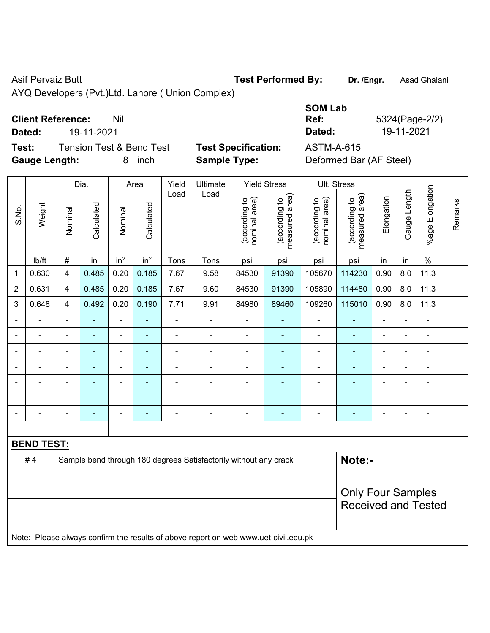Asif Pervaiz Butt **Test Performed By:** Dr. /Engr. **Asad Ghalani** 

AYQ Developers (Pvt.)Ltd. Lahore ( Union Complex)

# **Client Reference:** Nil

**Dated:** 19-11-2021 **Dated:** 19-11-2021

**Test:** Tension Test & Bend Test Test Specification: **Gauge Length:** 8 inch **Sample Type:** Deformed Bar (AF Steel)

| <b>SOM Lab</b><br>Ref: | 5324(Page-2/2) |
|------------------------|----------------|
| Dated:                 | 19-11-2021     |
| ASTM-A-615             |                |

|                |                   | Dia.                    |                          |                          | Area            |                | Ultimate                                                                            | <b>Yield Stress</b>            |                                 | Ult. Stress                    |                                 |                |                |                 |         |
|----------------|-------------------|-------------------------|--------------------------|--------------------------|-----------------|----------------|-------------------------------------------------------------------------------------|--------------------------------|---------------------------------|--------------------------------|---------------------------------|----------------|----------------|-----------------|---------|
| S.No.          | Weight            | Nominal                 | Calculated               | Nominal                  | Calculated      | Load           | Load                                                                                | (according to<br>nominal area) | (according to<br>measured area) | (according to<br>nominal area) | (according to<br>measured area) | Elongation     | Gauge Length   | %age Elongation | Remarks |
|                | lb/ft             | $\#$                    | in                       | in <sup>2</sup>          | in <sup>2</sup> | Tons           | Tons                                                                                | psi                            | psi                             | psi                            | psi                             | in             | in             | $\%$            |         |
| 1              | 0.630             | $\overline{\mathbf{4}}$ | 0.485                    | 0.20                     | 0.185           | 7.67           | 9.58                                                                                | 84530                          | 91390                           | 105670                         | 114230                          | 0.90           | 8.0            | 11.3            |         |
| $\overline{2}$ | 0.631             | $\overline{\mathbf{4}}$ | 0.485                    | 0.20                     | 0.185           | 7.67           | 9.60                                                                                | 84530                          | 91390                           | 105890                         | 114480                          | 0.90           | 8.0            | 11.3            |         |
| 3              | 0.648             | $\overline{4}$          | 0.492                    | 0.20                     | 0.190           | 7.71           | 9.91                                                                                | 84980                          | 89460                           | 109260                         | 115010                          | 0.90           | 8.0            | 11.3            |         |
|                |                   | $\blacksquare$          | $\blacksquare$           | ÷                        | ۰               | $\blacksquare$ | $\blacksquare$                                                                      | $\blacksquare$                 | $\blacksquare$                  | $\blacksquare$                 | $\blacksquare$                  | $\blacksquare$ |                | $\blacksquare$  |         |
|                | ä,                | $\blacksquare$          | $\blacksquare$           | $\blacksquare$           | $\blacksquare$  | $\blacksquare$ | $\blacksquare$                                                                      | $\blacksquare$                 | $\blacksquare$                  | $\blacksquare$                 | ÷                               | $\blacksquare$ | $\blacksquare$ | $\blacksquare$  |         |
|                | ä,                | $\blacksquare$          | $\blacksquare$           | $\overline{\phantom{0}}$ | ۰               | $\blacksquare$ | $\overline{a}$                                                                      | $\blacksquare$                 | ä,                              | $\blacksquare$                 | ۰                               | $\blacksquare$ | $\blacksquare$ | $\blacksquare$  |         |
|                | $\blacksquare$    |                         | $\blacksquare$           | ÷,                       |                 | $\blacksquare$ | $\blacksquare$                                                                      | $\blacksquare$                 | $\blacksquare$                  | $\blacksquare$                 | ä,                              | Ē,             | i.             | ä,              |         |
|                |                   |                         | $\overline{\phantom{0}}$ | ٠                        |                 |                | ÷                                                                                   | $\blacksquare$                 |                                 |                                |                                 |                |                | ÷               |         |
|                |                   |                         | $\blacksquare$           | ۰                        |                 |                | $\blacksquare$                                                                      | $\blacksquare$                 |                                 | $\blacksquare$                 | ۰                               | $\blacksquare$ |                | ä,              |         |
| $\blacksquare$ | $\blacksquare$    | $\blacksquare$          | ٠                        | ÷                        | ۰               | $\blacksquare$ | $\blacksquare$                                                                      | $\overline{\phantom{a}}$       | $\blacksquare$                  | $\blacksquare$                 | ۰                               | $\blacksquare$ | $\blacksquare$ | $\blacksquare$  |         |
|                |                   |                         |                          |                          |                 |                |                                                                                     |                                |                                 |                                |                                 |                |                |                 |         |
|                | <b>BEND TEST:</b> |                         |                          |                          |                 |                |                                                                                     |                                |                                 |                                |                                 |                |                |                 |         |
|                | #4                |                         |                          |                          |                 |                | Sample bend through 180 degrees Satisfactorily without any crack                    |                                |                                 |                                | Note:-                          |                |                |                 |         |
|                |                   |                         |                          |                          |                 |                |                                                                                     |                                |                                 |                                |                                 |                |                |                 |         |
|                |                   |                         |                          |                          |                 |                |                                                                                     |                                |                                 |                                | <b>Only Four Samples</b>        |                |                |                 |         |
|                |                   |                         |                          |                          |                 |                |                                                                                     |                                |                                 | <b>Received and Tested</b>     |                                 |                |                |                 |         |
|                |                   |                         |                          |                          |                 |                | Note: Please always confirm the results of above report on web www.uet-civil.edu.pk |                                |                                 |                                |                                 |                |                |                 |         |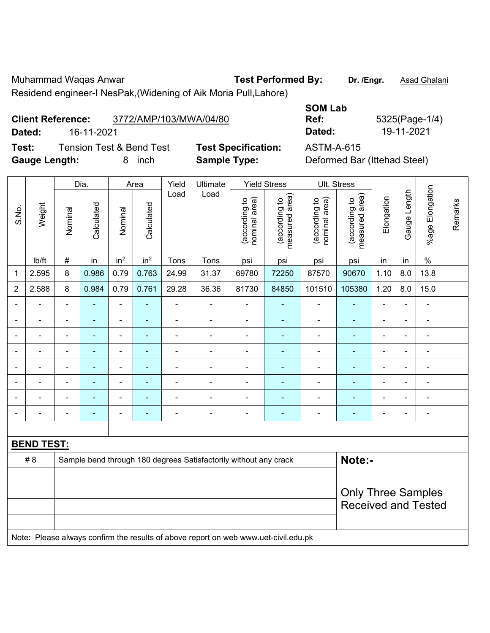Muhammad Waqas Anwar **Test Performed By: Dr. /Engr.** Asad Ghalani Residend engineer-I NesPak,(Widening of Aik Moria Pull,Lahore)

**Client Reference:** 3772/AMP/103/MWA/04/80

**Test:** Tension Test & Bend Test **Test Specification:** ASTM-A-615 **Gauge Length:** 8 inch **Sample Type:** Deformed Bar (Ittehad Steel)

|                |                   |                | Dia.           |                 | Area            | Yield          | Ultimate                                                                            |                                | <b>Yield Stress</b>             |                                | Ult. Stress                     |                |                |                          |         |
|----------------|-------------------|----------------|----------------|-----------------|-----------------|----------------|-------------------------------------------------------------------------------------|--------------------------------|---------------------------------|--------------------------------|---------------------------------|----------------|----------------|--------------------------|---------|
| S.No.          | Weight            | Nominal        | Calculated     | Nominal         | Calculated      | Load           | Load                                                                                | nominal area)<br>(according to | measured area)<br>(according to | (according to<br>nominal area) | (according to<br>measured area) | Elongation     | Gauge Length   | Elongation<br>$%$ age    | Remarks |
|                | lb/ft             | #              | in             | in <sup>2</sup> | in <sup>2</sup> | Tons           | Tons                                                                                | psi                            | psi                             | psi                            | psi                             | in             | in             | $\%$                     |         |
| 1              | 2.595             | 8              | 0.986          | 0.79            | 0.763           | 24.99          | 31.37                                                                               | 69780                          | 72250                           | 87570                          | 90670                           | 1.10           | 8.0            | 13.8                     |         |
| $\overline{2}$ | 2.588             | 8              | 0.984          | 0.79            | 0.761           | 29.28          | 36.36                                                                               | 81730                          | 84850                           | 101510                         | 105380                          | 1.20           | 8.0            | 15.0                     |         |
|                |                   |                |                | ä,              |                 |                | ä,                                                                                  |                                |                                 | $\blacksquare$                 |                                 |                |                | ÷,                       |         |
|                |                   |                | $\blacksquare$ | $\blacksquare$  |                 |                | ÷                                                                                   | $\blacksquare$                 |                                 | $\blacksquare$                 |                                 |                |                | $\blacksquare$           |         |
| $\blacksquare$ | $\blacksquare$    | $\blacksquare$ | $\blacksquare$ | ÷,              | ٠               | $\blacksquare$ | ä,                                                                                  | $\blacksquare$                 | ۰                               | $\overline{\phantom{a}}$       | $\blacksquare$                  | $\blacksquare$ | $\blacksquare$ | $\overline{\phantom{a}}$ |         |
|                |                   | $\blacksquare$ | $\blacksquare$ | ÷,              |                 | $\blacksquare$ | $\blacksquare$                                                                      | $\blacksquare$                 | $\blacksquare$                  | $\overline{\phantom{a}}$       | ÷,                              | $\blacksquare$ |                | $\blacksquare$           |         |
|                | $\blacksquare$    | ä,             | ٠              | ÷,              |                 | $\blacksquare$ | ÷                                                                                   | $\blacksquare$                 | ۰                               | $\blacksquare$                 | $\blacksquare$                  | $\blacksquare$ |                | $\blacksquare$           |         |
|                |                   |                | $\blacksquare$ | ÷               |                 | ÷              | ÷                                                                                   | $\blacksquare$                 |                                 | $\blacksquare$                 | ÷                               |                |                | ÷,                       |         |
|                |                   |                |                |                 |                 |                |                                                                                     |                                |                                 |                                |                                 |                |                | ä,                       |         |
|                | $\blacksquare$    |                | $\blacksquare$ | ۰               |                 | $\blacksquare$ | $\blacksquare$                                                                      | $\blacksquare$                 | $\blacksquare$                  | $\blacksquare$                 | ۰                               | $\blacksquare$ | $\blacksquare$ | $\blacksquare$           |         |
|                |                   |                |                |                 |                 |                |                                                                                     |                                |                                 |                                |                                 |                |                |                          |         |
|                | <b>BEND TEST:</b> |                |                |                 |                 |                |                                                                                     |                                |                                 |                                |                                 |                |                |                          |         |
|                | # 8               |                |                |                 |                 |                | Sample bend through 180 degrees Satisfactorily without any crack                    |                                |                                 |                                | Note:-                          |                |                |                          |         |
|                |                   |                |                |                 |                 |                |                                                                                     |                                |                                 |                                |                                 |                |                |                          |         |
|                |                   |                |                |                 |                 |                |                                                                                     |                                |                                 |                                | <b>Only Three Samples</b>       |                |                |                          |         |
|                |                   |                |                |                 |                 |                |                                                                                     |                                |                                 |                                | <b>Received and Tested</b>      |                |                |                          |         |
|                |                   |                |                |                 |                 |                |                                                                                     |                                |                                 |                                |                                 |                |                |                          |         |
|                |                   |                |                |                 |                 |                | Note: Please always confirm the results of above report on web www.uet-civil.edu.pk |                                |                                 |                                |                                 |                |                |                          |         |

**SOM Lab Ref:** 5325(Page-1/4) **Dated:** 16-11-2021 **Dated:** 19-11-2021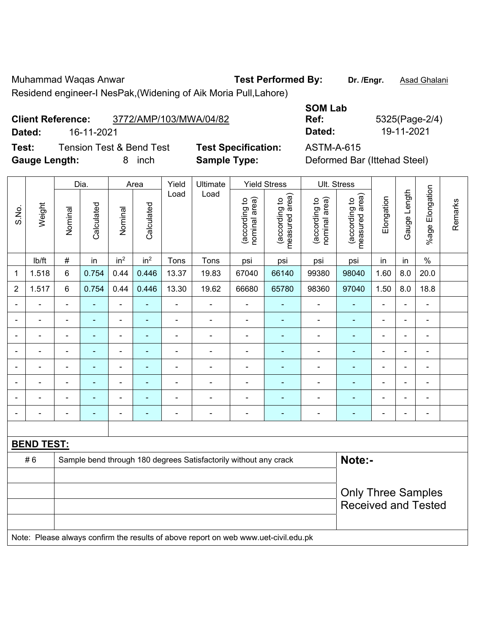Muhammad Waqas Anwar **Test Performed By: Dr. /Engr.** Asad Ghalani Residend engineer-I NesPak,(Widening of Aik Moria Pull,Lahore)

**Client Reference:** 3772/AMP/103/MWA/04/82

**Dated:** 16-11-2021 **Dated:** 19-11-2021

**Test:** Tension Test & Bend Test **Test Specification:** ASTM-A-615 **Gauge Length:** 8 inch **Sample Type:** Deformed Bar (Ittehad Steel)

| end engineer-I NesPak, (Widening of Aik Moria Pull, Lahore) |  |
|-------------------------------------------------------------|--|
|                                                             |  |

| <b>SOM Lab</b> |                |
|----------------|----------------|
| Ref:           | 5325(Page-2/4) |
| Dated:         | 19-11-2021     |
|                |                |

|                |                   | Dia.<br>Area   |                | Yield                    | Ultimate                 | <b>Yield Stress</b> |                                                                                     | Ult. Stress                    |                                 |                                |                                 |                |                |                 |         |
|----------------|-------------------|----------------|----------------|--------------------------|--------------------------|---------------------|-------------------------------------------------------------------------------------|--------------------------------|---------------------------------|--------------------------------|---------------------------------|----------------|----------------|-----------------|---------|
| S.No.          | Weight            | Nominal        | Calculated     | Nominal                  | Calculated               | Load                | Load                                                                                | nominal area)<br>(according to | (according to<br>measured area) | nominal area)<br>(according to | measured area)<br>(according to | Elongation     | Gauge Length   | %age Elongation | Remarks |
|                | lb/ft             | #              | in             | in <sup>2</sup>          | in <sup>2</sup>          | Tons                | Tons                                                                                | psi                            | psi                             | psi                            | psi                             | in             | in             | $\%$            |         |
| 1              | 1.518             | 6              | 0.754          | 0.44                     | 0.446                    | 13.37               | 19.83                                                                               | 67040                          | 66140                           | 99380                          | 98040                           | 1.60           | 8.0            | 20.0            |         |
| $\overline{2}$ | 1.517             | $\,6\,$        | 0.754          | 0.44                     | 0.446                    | 13.30               | 19.62                                                                               | 66680                          | 65780                           | 98360                          | 97040                           | 1.50           | 8.0            | 18.8            |         |
|                | ÷                 |                | ٠              | ÷,                       |                          | ä,                  | $\blacksquare$                                                                      |                                |                                 | ÷,                             | $\blacksquare$                  |                | ä,             | $\blacksquare$  |         |
|                |                   |                | $\blacksquare$ | $\overline{a}$           |                          |                     | $\blacksquare$                                                                      |                                |                                 | ۰                              | $\blacksquare$                  |                | $\blacksquare$ | ۰               |         |
|                |                   |                |                | ۰                        |                          | $\blacksquare$      |                                                                                     |                                |                                 | ۰                              | $\blacksquare$                  | $\blacksquare$ | $\blacksquare$ | ۰               |         |
| ٠              |                   |                | ۰              | ۰                        |                          |                     |                                                                                     |                                |                                 | ÷                              | $\blacksquare$                  | ä,             | $\frac{1}{2}$  | ÷               |         |
|                | $\blacksquare$    | $\blacksquare$ | ۰              | $\overline{\phantom{a}}$ | ٠                        | $\blacksquare$      | $\blacksquare$                                                                      | $\blacksquare$                 | ٠                               | ۰                              | $\blacksquare$                  | ä,             | $\frac{1}{2}$  | ÷               |         |
|                | $\blacksquare$    | $\blacksquare$ | ٠              | ÷,                       | $\overline{\phantom{0}}$ | $\blacksquare$      | $\blacksquare$                                                                      | $\blacksquare$                 |                                 | $\blacksquare$                 | $\blacksquare$                  | $\blacksquare$ | $\blacksquare$ | ä,              |         |
|                |                   |                | ۳              | $\blacksquare$           |                          |                     |                                                                                     |                                |                                 | Ē,                             | $\blacksquare$                  |                | L.             |                 |         |
|                |                   |                | -              | ÷                        |                          | $\blacksquare$      | $\blacksquare$                                                                      |                                |                                 | ÷                              |                                 | ÷              | $\blacksquare$ | $\blacksquare$  |         |
|                |                   |                |                |                          |                          |                     |                                                                                     |                                |                                 |                                |                                 |                |                |                 |         |
|                | <b>BEND TEST:</b> |                |                |                          |                          |                     |                                                                                     |                                |                                 |                                |                                 |                |                |                 |         |
|                | #6                |                |                |                          |                          |                     | Sample bend through 180 degrees Satisfactorily without any crack                    |                                |                                 |                                | Note:-                          |                |                |                 |         |
|                |                   |                |                |                          |                          |                     |                                                                                     |                                |                                 |                                |                                 |                |                |                 |         |
|                |                   |                |                |                          |                          |                     |                                                                                     |                                |                                 |                                | <b>Only Three Samples</b>       |                |                |                 |         |
|                |                   |                |                |                          |                          |                     |                                                                                     |                                |                                 |                                | <b>Received and Tested</b>      |                |                |                 |         |
|                |                   |                |                |                          |                          |                     | Note: Please always confirm the results of above report on web www.uet-civil.edu.pk |                                |                                 |                                |                                 |                |                |                 |         |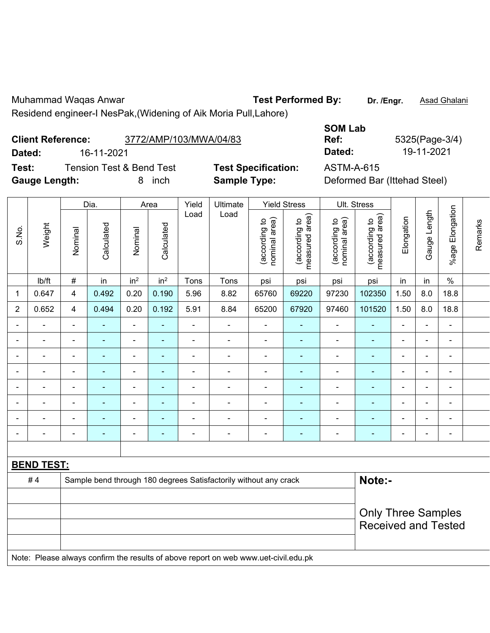Muhammad Waqas Anwar **Test Performed By:** Dr. /Engr. **Asad Ghalani** Residend engineer-I NesPak,(Widening of Aik Moria Pull,Lahore)

| Dated:<br>16-11-2021 |                   |                                                                                                                                                                                    |                    |                 |                    |                |                                                                  |                                | Dated:                                                 | 19-11-2021                     |                                                |                |                          |                    |         |
|----------------------|-------------------|------------------------------------------------------------------------------------------------------------------------------------------------------------------------------------|--------------------|-----------------|--------------------|----------------|------------------------------------------------------------------|--------------------------------|--------------------------------------------------------|--------------------------------|------------------------------------------------|----------------|--------------------------|--------------------|---------|
| Test:                |                   | <b>Tension Test &amp; Bend Test</b><br><b>Test Specification:</b><br><b>ASTM-A-615</b><br><b>Gauge Length:</b><br><b>Sample Type:</b><br>Deformed Bar (Ittehad Steel)<br>8<br>inch |                    |                 |                    |                |                                                                  |                                |                                                        |                                |                                                |                |                          |                    |         |
| S.No.                | Weight            | Nominal                                                                                                                                                                            | Dia.<br>Calculated | Nominal         | Area<br>Calculated | Yield<br>Load  | Ultimate<br>Load                                                 | (according to<br>nominal area) | <b>Yield Stress</b><br>measured area)<br>(according to | (according to<br>nominal area) | Ult. Stress<br>measured area)<br>(according to | Elongation     | Gauge Length             | Elongation<br>%age | Remarks |
|                      | Ib/ft             | $\#$                                                                                                                                                                               | in                 | in <sup>2</sup> | in <sup>2</sup>    | Tons           | Tons                                                             | psi                            | psi                                                    | psi                            | psi                                            | in             | in                       | $\%$               |         |
| $\mathbf 1$          | 0.647             | $\overline{4}$                                                                                                                                                                     | 0.492              | 0.20            | 0.190              | 5.96           | 8.82                                                             | 65760                          | 69220                                                  | 97230                          | 102350                                         | 1.50           | 8.0                      | 18.8               |         |
| $\overline{2}$       | 0.652             | 4                                                                                                                                                                                  | 0.494              | 0.20            | 0.192              | 5.91           | 8.84                                                             | 65200                          | 67920                                                  | 97460                          | 101520                                         | 1.50           | 8.0                      | 18.8               |         |
|                      |                   |                                                                                                                                                                                    |                    |                 |                    |                | $\blacksquare$                                                   |                                | ÷                                                      |                                |                                                | $\blacksquare$ |                          |                    |         |
|                      |                   | $\blacksquare$                                                                                                                                                                     | ۰                  | ۰               | ۰                  | $\overline{a}$ | $\overline{\phantom{0}}$                                         |                                | $\blacksquare$                                         | $\blacksquare$                 |                                                | $\blacksquare$ | $\overline{\phantom{0}}$ | $\blacksquare$     |         |
|                      |                   |                                                                                                                                                                                    |                    |                 |                    |                |                                                                  |                                | ۳                                                      |                                |                                                |                |                          |                    |         |
|                      |                   |                                                                                                                                                                                    |                    | ۰               |                    |                | $\blacksquare$                                                   |                                | $\blacksquare$                                         | $\blacksquare$                 |                                                | ÷              | Ē,                       |                    |         |
|                      |                   |                                                                                                                                                                                    | ÷,                 |                 |                    |                |                                                                  |                                | ä,                                                     | ä,                             |                                                | ä,             | L,                       |                    |         |
|                      |                   |                                                                                                                                                                                    |                    |                 |                    |                |                                                                  |                                | $\blacksquare$                                         |                                |                                                | $\overline{a}$ |                          |                    |         |
|                      |                   |                                                                                                                                                                                    |                    |                 |                    |                |                                                                  |                                |                                                        |                                |                                                | $\blacksquare$ |                          |                    |         |
|                      |                   |                                                                                                                                                                                    |                    |                 |                    |                |                                                                  |                                | ۳                                                      | $\blacksquare$                 |                                                |                |                          |                    |         |
|                      |                   |                                                                                                                                                                                    |                    |                 |                    |                |                                                                  |                                |                                                        |                                |                                                |                |                          |                    |         |
|                      | <b>BEND TEST:</b> |                                                                                                                                                                                    |                    |                 |                    |                |                                                                  |                                |                                                        |                                |                                                |                |                          |                    |         |
|                      | #4                |                                                                                                                                                                                    |                    |                 |                    |                | Sample bend through 180 degrees Satisfactorily without any crack |                                |                                                        | Note:-                         |                                                |                |                          |                    |         |

| #4 | Sample bend through 180 degrees Satisfactorily without any crack                    | Note:-                     |
|----|-------------------------------------------------------------------------------------|----------------------------|
|    |                                                                                     |                            |
|    |                                                                                     | <b>Only Three Samples</b>  |
|    |                                                                                     | <b>Received and Tested</b> |
|    |                                                                                     |                            |
|    | Note: Please always confirm the results of above report on web www.uet-civil.edu.pk |                            |

**SOM Lab** 

**Ref:** 5325(Page-3/4)

**Client Reference:** 3772/AMP/103/MWA/04/83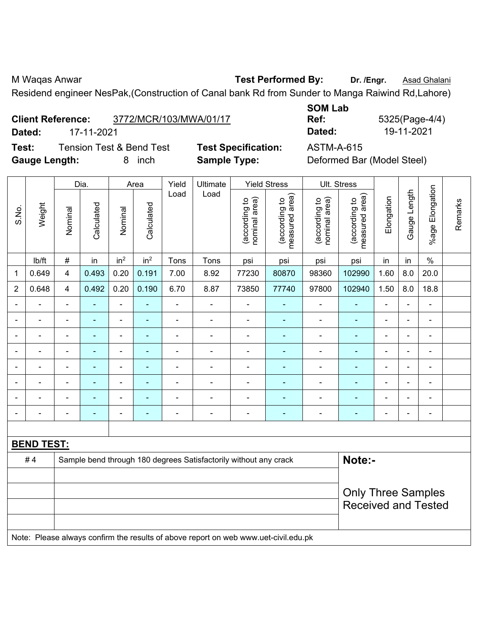M Waqas Anwar **Test Performed By:** Dr. /Engr. **Asad Ghalani** Residend engineer NesPak,(Construction of Canal bank Rd from Sunder to Manga Raiwind Rd,Lahore)

| <b>Client Reference:</b> | 3772/MCR/103/MWA/01/17 |
|--------------------------|------------------------|
|                          |                        |

**Test:** Tension Test & Bend Test **Test Specification:** ASTM-A-615 **Gauge Length:** 8 inch **Sample Type:** Deformed Bar (Model Steel)

**SOM Lab Ref:** 5325(Page-4/4) **Dated:** 17-11-2021 **Dated:** 19-11-2021

|                          |                   |                          | Dia.                     |                              | Area            | Yield          | Ultimate                                                                            |                                | <b>Yield Stress</b>             |                                | Ult. Stress                                 |                |                |                              |         |
|--------------------------|-------------------|--------------------------|--------------------------|------------------------------|-----------------|----------------|-------------------------------------------------------------------------------------|--------------------------------|---------------------------------|--------------------------------|---------------------------------------------|----------------|----------------|------------------------------|---------|
| S.No.                    | Weight            | Nominal                  | Calculated               | Nominal                      | Calculated      | Load           | Load                                                                                | (according to<br>nominal area) | (according to<br>measured area) | nominal area)<br>(according to | (according to<br>measured area)<br>measured | Elongation     | Gauge Length   | Elongation<br>$%$ age        | Remarks |
|                          | lb/ft             | $\#$                     | in                       | in <sup>2</sup>              | in <sup>2</sup> | Tons           | Tons                                                                                | psi                            | psi                             | psi                            | psi                                         | in             | in             | $\%$                         |         |
| 1                        | 0.649             | $\overline{4}$           | 0.493                    | 0.20                         | 0.191           | 7.00           | 8.92                                                                                | 77230                          | 80870                           | 98360                          | 102990                                      | 1.60           | 8.0            | 20.0                         |         |
| $\overline{2}$           | 0.648             | $\overline{4}$           | 0.492                    | 0.20                         | 0.190           | 6.70           | 8.87                                                                                | 73850                          | 77740                           | 97800                          | 102940                                      | 1.50           | 8.0            | 18.8                         |         |
|                          |                   | $\blacksquare$           | ä,                       | ÷,                           | $\blacksquare$  | ä,             | ä,                                                                                  | $\blacksquare$                 | $\blacksquare$                  | $\blacksquare$                 | ÷,                                          | L.             |                | $\blacksquare$               |         |
|                          |                   |                          | $\blacksquare$           | $\blacksquare$               |                 |                | ÷,                                                                                  | $\blacksquare$                 | ٠                               | $\blacksquare$                 |                                             | $\blacksquare$ |                |                              |         |
| $\overline{\phantom{0}}$ |                   | $\blacksquare$           | $\overline{\phantom{0}}$ | $\overline{\phantom{a}}$     | $\blacksquare$  | $\blacksquare$ | $\qquad \qquad \blacksquare$                                                        | $\overline{\phantom{a}}$       | ۰                               | $\overline{\phantom{0}}$       | $\blacksquare$                              | $\blacksquare$ | $\blacksquare$ | $\overline{\phantom{a}}$     |         |
|                          |                   | $\overline{\phantom{a}}$ | ä,                       | $\blacksquare$               | $\blacksquare$  | Ē,             | $\qquad \qquad \blacksquare$                                                        | $\blacksquare$                 | ۰                               | $\overline{\phantom{a}}$       | $\blacksquare$                              | $\blacksquare$ |                | $\blacksquare$               |         |
| $\blacksquare$           |                   | $\blacksquare$           | $\blacksquare$           | $\qquad \qquad \blacksquare$ | $\blacksquare$  | $\blacksquare$ | $\qquad \qquad \blacksquare$                                                        | $\blacksquare$                 | ٠                               | $\overline{\phantom{a}}$       | $\blacksquare$                              | $\blacksquare$ |                | $\qquad \qquad \blacksquare$ |         |
|                          |                   | ä,                       | $\blacksquare$           | $\blacksquare$               | ٠               | L,             | ä,                                                                                  | ÷                              | ۰                               | $\blacksquare$                 | L,                                          |                |                | ä,                           |         |
|                          |                   |                          |                          |                              |                 |                | -                                                                                   | $\blacksquare$                 |                                 |                                |                                             |                |                | $\blacksquare$               |         |
| $\blacksquare$           |                   | ä,                       | $\blacksquare$           | $\overline{\phantom{a}}$     | $\blacksquare$  | ä,             | $\qquad \qquad \blacksquare$                                                        | $\blacksquare$                 | $\blacksquare$                  | $\overline{\phantom{a}}$       | $\blacksquare$                              | $\blacksquare$ | $\blacksquare$ | $\blacksquare$               |         |
|                          |                   |                          |                          |                              |                 |                |                                                                                     |                                |                                 |                                |                                             |                |                |                              |         |
|                          | <b>BEND TEST:</b> |                          |                          |                              |                 |                |                                                                                     |                                |                                 |                                |                                             |                |                |                              |         |
|                          | #4                |                          |                          |                              |                 |                | Sample bend through 180 degrees Satisfactorily without any crack                    |                                |                                 |                                | Note:-                                      |                |                |                              |         |
|                          |                   |                          |                          |                              |                 |                |                                                                                     |                                |                                 |                                |                                             |                |                |                              |         |
|                          |                   |                          |                          |                              |                 |                |                                                                                     |                                |                                 |                                | <b>Only Three Samples</b>                   |                |                |                              |         |
|                          |                   |                          |                          |                              |                 |                | <b>Received and Tested</b>                                                          |                                |                                 |                                |                                             |                |                |                              |         |
|                          |                   |                          |                          |                              |                 |                |                                                                                     |                                |                                 |                                |                                             |                |                |                              |         |
|                          |                   |                          |                          |                              |                 |                | Note: Please always confirm the results of above report on web www.uet-civil.edu.pk |                                |                                 |                                |                                             |                |                |                              |         |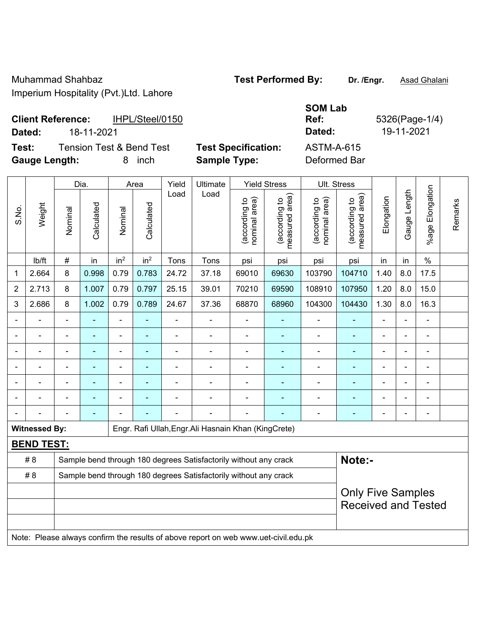Muhammad Shahbaz **Test Performed By: Dr. /Engr.** Asad Ghalani

Imperium Hospitality (Pvt.)Ltd. Lahore

| <b>Client Reference:</b> | IHPL/Steel/0150 | Ref    | 5326(Page-1 |
|--------------------------|-----------------|--------|-------------|
| Dated:                   | 18-11-2021      | Dated: | 19-11-2021  |

**Test:** Tension Test & Bend Test **Test Specification:** ASTM-A-615

**Gauge Length:** 8 inch **Sample Type:** Deformed Bar

 $\top$ 

 $\overline{1}$ 

 $\overline{\phantom{a}}$ 

 $\overline{\phantom{a}}$ 

**SOM Lab Ref:** 5326(Page-1/4)

|                |                      |                | Dia.       | Area            |                 | Yield | Ultimate                                                                            |                                | <b>Yield Stress</b>                |                                | Ult. Stress                     |                |              |                          |         |
|----------------|----------------------|----------------|------------|-----------------|-----------------|-------|-------------------------------------------------------------------------------------|--------------------------------|------------------------------------|--------------------------------|---------------------------------|----------------|--------------|--------------------------|---------|
| S.No.          | Weight               | Nominal        | Calculated | Nominal         | Calculated      | Load  | Load                                                                                | nominal area)<br>(according to | area)<br>(according to<br>neasured | nominal area)<br>(according to | (according to<br>measured area) | Elongation     | Gauge Length | Elongation<br>$%$ age    | Remarks |
|                | lb/ft                | #              | in         | in <sup>2</sup> | in <sup>2</sup> | Tons  | Tons                                                                                | psi                            | psi                                | psi                            | psi                             | in             | in           | $\%$                     |         |
| 1              | 2.664                | 8              | 0.998      | 0.79            | 0.783           | 24.72 | 37.18                                                                               | 69010                          | 69630                              | 103790                         | 104710                          | 1.40           | 8.0          | 17.5                     |         |
| $\overline{2}$ | 2.713                | 8              | 1.007      | 0.79            | 0.797           | 25.15 | 39.01                                                                               | 70210                          | 69590                              | 108910                         | 107950                          | 1.20           | 8.0          | 15.0                     |         |
| 3              | 2.686                | 8              | 1.002      | 0.79            | 0.789           | 24.67 | 37.36                                                                               | 68870                          | 68960                              | 104300                         | 104430                          | 1.30           | 8.0          | 16.3                     |         |
|                |                      |                |            |                 |                 |       |                                                                                     |                                |                                    |                                |                                 |                |              |                          |         |
|                |                      |                |            |                 |                 |       |                                                                                     |                                |                                    |                                |                                 |                |              |                          |         |
|                |                      | ä,             |            | $\blacksquare$  | ۰               | L,    |                                                                                     | ä,                             |                                    | $\blacksquare$                 |                                 | ä,             |              | ä,                       |         |
|                |                      | $\blacksquare$ | ٠          | ÷               | $\blacksquare$  | ä,    |                                                                                     | $\blacksquare$                 | $\overline{\phantom{a}}$           | $\overline{a}$                 | $\blacksquare$                  | $\blacksquare$ |              | $\blacksquare$           |         |
|                |                      |                |            |                 |                 |       |                                                                                     |                                |                                    | $\blacksquare$                 |                                 |                |              |                          |         |
|                |                      |                |            |                 |                 |       |                                                                                     |                                |                                    |                                |                                 |                |              |                          |         |
|                |                      | $\blacksquare$ |            |                 |                 |       |                                                                                     | $\blacksquare$                 |                                    | $\overline{a}$                 |                                 | $\blacksquare$ |              | $\overline{\phantom{a}}$ |         |
|                | <b>Witnessed By:</b> |                |            |                 |                 |       | Engr. Rafi Ullah, Engr. Ali Hasnain Khan (KingCrete)                                |                                |                                    |                                |                                 |                |              |                          |         |
|                | <b>BEND TEST:</b>    |                |            |                 |                 |       |                                                                                     |                                |                                    |                                |                                 |                |              |                          |         |
|                | # 8                  |                |            |                 |                 |       | Sample bend through 180 degrees Satisfactorily without any crack                    |                                |                                    |                                | Note:-                          |                |              |                          |         |
|                | #8                   |                |            |                 |                 |       | Sample bend through 180 degrees Satisfactorily without any crack                    |                                |                                    |                                |                                 |                |              |                          |         |
|                |                      |                |            |                 |                 |       | <b>Only Five Samples</b><br><b>Received and Tested</b>                              |                                |                                    |                                |                                 |                |              |                          |         |
|                |                      |                |            |                 |                 |       | Note: Please always confirm the results of above report on web www.uet-civil.edu.pk |                                |                                    |                                |                                 |                |              |                          |         |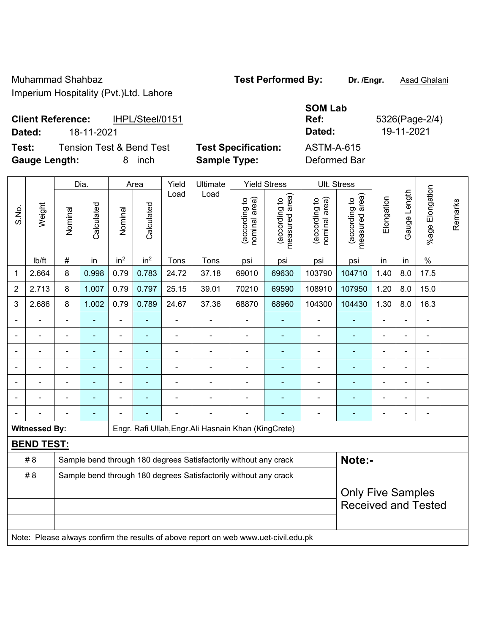Muhammad Shahbaz **Test Performed By: Dr. /Engr.** Asad Ghalani

Imperium Hospitality (Pvt.)Ltd. Lahore

### **Client Reference:** IHPL/Steel/0151 **Dated:** 18-11-2021 **Dated:** 19-11-2021

**Test:** Tension Test & Bend Test Test Specification: **Gauge Length:** 8 inch **Sample Type:** Deformed Bar

| SUM Lab    |      |
|------------|------|
| Ref:       | 5326 |
| Dated:     | 19-  |
| ASTM-A-615 |      |
| . <i>.</i> |      |

**Some** ...

**Ref:** 5326(Page-2/4)

|                |                      | Dia.           |            |                 | Area            |       | Ultimate<br>Yield                                                                   |                                | <b>Yield Stress</b>                | Ult. Stress                    |                                 |                          |                |                            |         |
|----------------|----------------------|----------------|------------|-----------------|-----------------|-------|-------------------------------------------------------------------------------------|--------------------------------|------------------------------------|--------------------------------|---------------------------------|--------------------------|----------------|----------------------------|---------|
| S.No.          | Weight               | Nominal        | Calculated | Nominal         | Calculated      | Load  | Load                                                                                | nominal area)<br>(according to | area)<br>(according to<br>measured | nominal area)<br>(according to | measured area)<br>(according to | Elongation               | Gauge Length   | Elongation<br>$%$ age      | Remarks |
|                | Ib/ft                | $\#$           | in         | in <sup>2</sup> | in <sup>2</sup> | Tons  | Tons                                                                                | psi                            | psi                                | psi                            | psi                             | in                       | in             | $\%$                       |         |
| 1              | 2.664                | 8              | 0.998      | 0.79            | 0.783           | 24.72 | 37.18                                                                               | 69010                          | 69630                              | 103790                         | 104710                          | 1.40                     | 8.0            | 17.5                       |         |
| $\overline{2}$ | 2.713                | 8              | 1.007      | 0.79            | 0.797           | 25.15 | 39.01                                                                               | 70210                          | 69590                              | 108910                         | 107950                          | 1.20                     | 8.0            | 15.0                       |         |
| 3              | 2.686                | 8              | 1.002      | 0.79            | 0.789           | 24.67 | 37.36                                                                               | 68870                          | 68960                              | 104300                         | 104430                          | 1.30                     | 8.0            | 16.3                       |         |
|                |                      |                |            | $\blacksquare$  |                 |       |                                                                                     |                                |                                    |                                |                                 |                          |                |                            |         |
|                |                      |                |            | $\blacksquare$  | ÷               |       |                                                                                     |                                |                                    | $\blacksquare$                 |                                 |                          |                | ۰                          |         |
|                |                      | $\blacksquare$ |            | ä,              | ä,              |       |                                                                                     | ä,                             |                                    | $\blacksquare$                 | ۰                               | $\blacksquare$           | $\blacksquare$ | $\blacksquare$             |         |
|                |                      | $\blacksquare$ |            | $\blacksquare$  | $\blacksquare$  |       |                                                                                     | $\blacksquare$                 |                                    | $\overline{\phantom{a}}$       | ÷                               | $\blacksquare$           | $\blacksquare$ | ۰                          |         |
|                |                      |                |            | ä,              |                 |       |                                                                                     |                                |                                    |                                | ä,                              |                          |                | $\blacksquare$             |         |
|                |                      |                |            |                 |                 |       |                                                                                     |                                |                                    |                                |                                 |                          |                |                            |         |
|                |                      |                |            |                 |                 |       |                                                                                     |                                |                                    | $\overline{a}$                 |                                 |                          |                | ۰                          |         |
|                | <b>Witnessed By:</b> |                |            |                 |                 |       | Engr. Rafi Ullah, Engr. Ali Hasnain Khan (KingCrete)                                |                                |                                    |                                |                                 |                          |                |                            |         |
|                | <b>BEND TEST:</b>    |                |            |                 |                 |       |                                                                                     |                                |                                    |                                |                                 |                          |                |                            |         |
|                | # 8                  |                |            |                 |                 |       | Sample bend through 180 degrees Satisfactorily without any crack                    |                                |                                    |                                | Note:-                          |                          |                |                            |         |
|                | # 8                  |                |            |                 |                 |       | Sample bend through 180 degrees Satisfactorily without any crack                    |                                |                                    |                                |                                 |                          |                |                            |         |
|                |                      |                |            |                 |                 |       |                                                                                     |                                |                                    |                                |                                 | <b>Only Five Samples</b> |                | <b>Received and Tested</b> |         |
|                |                      |                |            |                 |                 |       | Note: Please always confirm the results of above report on web www.uet-civil.edu.pk |                                |                                    |                                |                                 |                          |                |                            |         |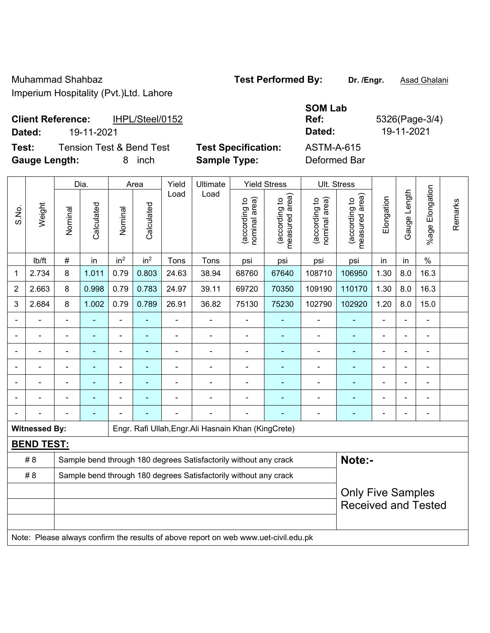Muhammad Shahbaz **Test Performed By: Dr. /Engr.** Asad Ghalani

Imperium Hospitality (Pvt.)Ltd. Lahore

### **Client Reference:** IHPL/Steel/0152 **Dated:** 19-11-2021 **Dated:** 19-11-2021

**Test:** Tension Test & Bend Test **Test Specification: Gauge Length:** 8 inch **Sample Type:** Deformed Bar

| <b>SOM Lab</b><br>Ref: | 5326 |
|------------------------|------|
| <b>Dated:</b>          | 19-1 |
| ASTM-A-615             |      |
| . <i>.</i>             |      |

|       |                      |                | Dia.           |                 | Area            | Yield          | Ultimate                                                                            |                                | <b>Yield Stress</b>             |                                | Ult. Stress                                            |                |                |                       |         |
|-------|----------------------|----------------|----------------|-----------------|-----------------|----------------|-------------------------------------------------------------------------------------|--------------------------------|---------------------------------|--------------------------------|--------------------------------------------------------|----------------|----------------|-----------------------|---------|
| S.No. | Weight               | Nominal        | Calculated     | Nominal         | Calculated      | Load           | Load                                                                                | nominal area)<br>(according to | (according to<br>measured area) | (according to<br>nominal area) | (according to<br>measured area)                        | Elongation     | Gauge Length   | Elongation<br>$%$ age | Remarks |
|       | lb/ft                | #              | in             | in <sup>2</sup> | in <sup>2</sup> | Tons           | Tons                                                                                | psi                            | psi                             | psi                            | psi                                                    | in             | in             | $\%$                  |         |
| 1     | 2.734                | 8              | 1.011          | 0.79            | 0.803           | 24.63          | 38.94                                                                               | 68760                          | 108710                          | 106950                         | 1.30                                                   | 8.0            | 16.3           |                       |         |
| 2     | 2.663                | 8              | 0.998          | 0.79            | 0.783           | 24.97          | 39.11                                                                               | 69720                          | 70350                           | 109190                         | 110170                                                 | 1.30           | 8.0            | 16.3                  |         |
| 3     | 2.684                | 8              | 1.002          | 0.79            | 0.789           | 26.91          | 36.82                                                                               | 75130                          | 75230                           | 102790                         | 102920                                                 | 1.20           | 8.0            | 15.0                  |         |
|       |                      | $\blacksquare$ | ÷              | $\blacksquare$  | $\blacksquare$  | $\blacksquare$ | ÷,                                                                                  | $\blacksquare$                 |                                 | $\blacksquare$                 | $\blacksquare$                                         | $\blacksquare$ | ÷.             | $\blacksquare$        |         |
|       | $\blacksquare$       | L,             | $\blacksquare$ | ÷,              | ä,              | L,             | $\blacksquare$                                                                      | $\blacksquare$                 | L,                              | ä,                             | ä,                                                     | ä,             | ÷.             | $\blacksquare$        |         |
|       | $\blacksquare$       | $\blacksquare$ | ÷              | $\blacksquare$  | $\blacksquare$  | $\blacksquare$ | ۰                                                                                   | $\blacksquare$                 | ۳                               | $\blacksquare$                 | $\overline{\phantom{0}}$                               | $\blacksquare$ | $\blacksquare$ | $\blacksquare$        |         |
|       |                      |                | ۰              | ÷,              |                 |                |                                                                                     | $\blacksquare$                 |                                 |                                |                                                        |                |                |                       |         |
|       |                      |                |                |                 |                 |                |                                                                                     |                                |                                 |                                |                                                        |                |                | $\blacksquare$        |         |
|       |                      |                | ۰              | $\blacksquare$  |                 |                |                                                                                     |                                | ۳                               | $\blacksquare$                 |                                                        | $\blacksquare$ | $\blacksquare$ | $\blacksquare$        |         |
|       |                      |                | ۰              |                 |                 |                | $\blacksquare$                                                                      | $\blacksquare$                 |                                 | $\blacksquare$                 | $\blacksquare$                                         | $\blacksquare$ | $\blacksquare$ | $\blacksquare$        |         |
|       | <b>Witnessed By:</b> |                |                |                 |                 |                | Engr. Rafi Ullah, Engr. Ali Hasnain Khan (KingCrete)                                |                                |                                 |                                |                                                        |                |                |                       |         |
|       | <b>BEND TEST:</b>    |                |                |                 |                 |                |                                                                                     |                                |                                 |                                |                                                        |                |                |                       |         |
|       | # 8                  |                |                |                 |                 |                | Sample bend through 180 degrees Satisfactorily without any crack                    |                                |                                 |                                | Note:-                                                 |                |                |                       |         |
|       | # 8                  |                |                |                 |                 |                | Sample bend through 180 degrees Satisfactorily without any crack                    |                                |                                 |                                |                                                        |                |                |                       |         |
|       |                      |                |                |                 |                 |                |                                                                                     |                                |                                 |                                | <b>Only Five Samples</b><br><b>Received and Tested</b> |                |                |                       |         |
|       |                      |                |                |                 |                 |                | Note: Please always confirm the results of above report on web www.uet-civil.edu.pk |                                |                                 |                                |                                                        |                |                |                       |         |

 $\delta$ (Page-3/4)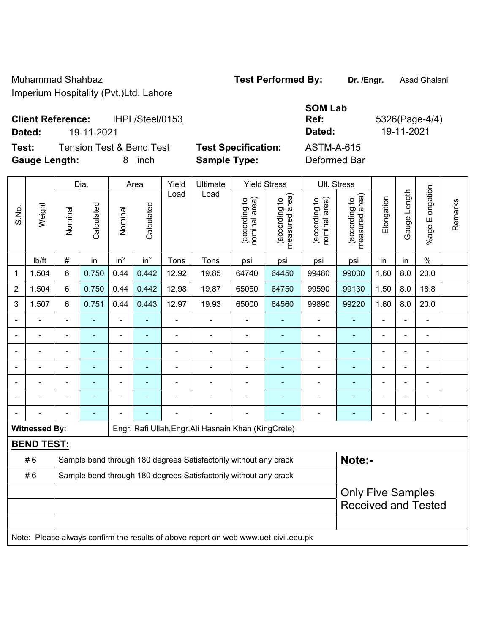Muhammad Shahbaz **Test Performed By: Dr. /Engr.** Asad Ghalani Imperium Hospitality (Pvt.)Ltd. Lahore

| <b>Client Reference:</b> | IHPL/Steel/0153 | <b>Ref</b> | 5326(Page-4) |
|--------------------------|-----------------|------------|--------------|
| Dated:                   | 19-11-2021      | Dated:     | 19-11-2021   |

**SOM Lab Ref:** 5326(Page-4/4)

**Test:** Tension Test & Bend Test **Test Specification:** ASTM-A-615 **Gauge Length:** 8 inch **Sample Type:** Deformed Bar

|                          |                      |                          | Dia.       |                              | Area            | Yield | Ultimate                                                                            |                                | <b>Yield Stress</b>             |                                | Ult. Stress                     |                            |              |                       |         |
|--------------------------|----------------------|--------------------------|------------|------------------------------|-----------------|-------|-------------------------------------------------------------------------------------|--------------------------------|---------------------------------|--------------------------------|---------------------------------|----------------------------|--------------|-----------------------|---------|
| S.No.                    | Weight               | Nominal                  | Calculated | Nominal                      | Calculated      | Load  | Load                                                                                | nominal area)<br>(according to | (according to<br>measured area) | (according to<br>nominal area) | (according to<br>measured area) | Elongation                 | Gauge Length | Elongation<br>$%$ age | Remarks |
|                          | lb/ft                | $\#$                     | in         | in <sup>2</sup>              | in <sup>2</sup> | Tons  | Tons                                                                                | psi                            | psi                             | psi                            | psi                             | in                         | in           | $\%$                  |         |
| 1                        | 1.504                | $6\phantom{1}$           | 0.750      | 0.44                         | 0.442           | 12.92 | 19.85                                                                               | 64740                          | 64450                           | 99480                          | 99030                           | 1.60                       | 8.0          | 20.0                  |         |
| 2                        | 1.504                | $6\phantom{1}$           | 0.750      | 0.44                         | 0.442           | 12.98 | 19.87                                                                               | 65050                          | 64750                           | 99590                          | 99130                           | 1.50                       | 8.0          | 18.8                  |         |
| 3                        | 1.507                | $6\phantom{1}$           | 0.751      | 0.44                         | 0.443           | 12.97 | 19.93                                                                               | 65000                          | 64560                           | 99890                          | 99220                           | 1.60                       | 8.0          | 20.0                  |         |
|                          |                      | $\blacksquare$           | L,         | $\blacksquare$               |                 | ä,    | ÷,                                                                                  | $\blacksquare$                 | $\blacksquare$                  | $\blacksquare$                 | $\blacksquare$                  | $\overline{a}$             |              | $\blacksquare$        |         |
| $\overline{\phantom{0}}$ |                      | $\overline{\phantom{0}}$ | ä,         | $\qquad \qquad \blacksquare$ | $\blacksquare$  | ä,    | ÷                                                                                   | $\blacksquare$                 | $\blacksquare$                  | ÷                              | $\blacksquare$                  | $\overline{\phantom{0}}$   |              | ÷,                    |         |
|                          |                      | ÷                        | ÷,         | ÷                            | ٠               | ä,    | ÷                                                                                   | ä,                             | ÷                               | ÷                              | $\blacksquare$                  |                            |              | ÷,                    |         |
|                          |                      |                          |            | ÷                            |                 |       | $\blacksquare$                                                                      |                                | $\blacksquare$                  | ä,                             |                                 |                            |              | $\blacksquare$        |         |
|                          |                      |                          |            |                              |                 |       |                                                                                     |                                |                                 |                                |                                 |                            |              |                       |         |
|                          |                      |                          | ۰          | $\overline{\phantom{0}}$     |                 |       | $\overline{a}$                                                                      | $\blacksquare$                 | ۰                               | $\overline{\phantom{0}}$       |                                 |                            |              | $\blacksquare$        |         |
|                          |                      |                          | ä,         |                              |                 |       | ÷                                                                                   |                                |                                 | $\overline{a}$                 | $\blacksquare$                  | ٠                          |              | ÷,                    |         |
|                          | <b>Witnessed By:</b> |                          |            |                              |                 |       | Engr. Rafi Ullah, Engr. Ali Hasnain Khan (KingCrete)                                |                                |                                 |                                |                                 |                            |              |                       |         |
|                          | <b>BEND TEST:</b>    |                          |            |                              |                 |       |                                                                                     |                                |                                 |                                |                                 |                            |              |                       |         |
|                          | #6                   |                          |            |                              |                 |       | Sample bend through 180 degrees Satisfactorily without any crack                    |                                |                                 |                                | Note:-                          |                            |              |                       |         |
|                          | #6                   |                          |            |                              |                 |       | Sample bend through 180 degrees Satisfactorily without any crack                    |                                |                                 |                                |                                 |                            |              |                       |         |
|                          |                      |                          |            |                              |                 |       |                                                                                     |                                |                                 |                                | <b>Only Five Samples</b>        |                            |              |                       |         |
|                          |                      |                          |            |                              |                 |       |                                                                                     |                                |                                 |                                |                                 | <b>Received and Tested</b> |              |                       |         |
|                          |                      |                          |            |                              |                 |       |                                                                                     |                                |                                 |                                |                                 |                            |              |                       |         |
|                          |                      |                          |            |                              |                 |       | Note: Please always confirm the results of above report on web www.uet-civil.edu.pk |                                |                                 |                                |                                 |                            |              |                       |         |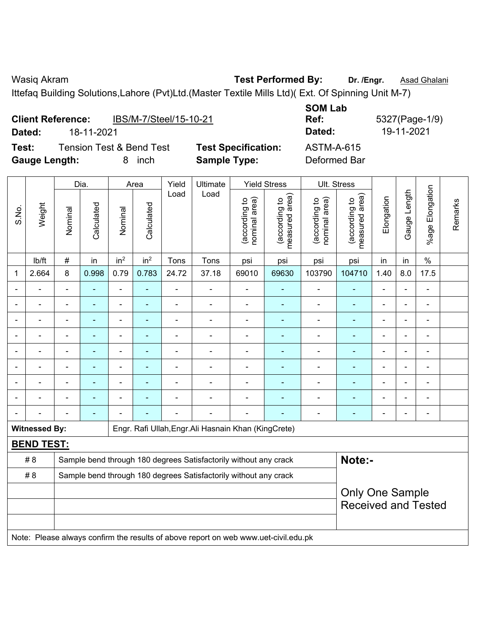Ittefaq Building Solutions,Lahore (Pvt)Ltd.(Master Textile Mills Ltd)( Ext. Of Spinning Unit M-7)

|                      | <b>Client Reference:</b> | IBS/M-7/Steel/15-10-21              |                            | <b>SOM Lab</b><br>Ref: |
|----------------------|--------------------------|-------------------------------------|----------------------------|------------------------|
| Dated:               | 18-11-2021               |                                     |                            | Dated:                 |
| Test:                |                          | <b>Tension Test &amp; Bend Test</b> | <b>Test Specification:</b> | <b>ASTM-A-615</b>      |
| <b>Gauge Length:</b> |                          | inch                                | <b>Sample Type:</b>        | Deformed Bar           |

**SOM Lab Ref:** 5327(Page-1/9) **Dated:** 18-11-2021 **Dated:** 19-11-2021

|       |                      |                | Dia.                     |                 | Area            | Yield          | Ultimate                                                                            |                                | <b>Yield Stress</b>             |                                | Ult. Stress                                          |                |                |                          |         |
|-------|----------------------|----------------|--------------------------|-----------------|-----------------|----------------|-------------------------------------------------------------------------------------|--------------------------------|---------------------------------|--------------------------------|------------------------------------------------------|----------------|----------------|--------------------------|---------|
| S.No. | Weight               | Nominal        | Calculated               | Nominal         | Calculated      | Load           | Load                                                                                | (according to<br>nominal area) | (according to<br>measured area) | (according to<br>nominal area) | (according to<br>measured area)                      | Elongation     | Gauge Length   | Elongation<br>$%$ age I  | Remarks |
|       | lb/ft                | #              | in                       | in <sup>2</sup> | in <sup>2</sup> | Tons           | Tons                                                                                | psi                            | psi                             | psi                            | psi                                                  | in             | in             | $\%$                     |         |
| 1     | 2.664                | 8              | 0.998                    | 0.79            | 0.783           | 24.72          | 37.18                                                                               | 69010                          | 69630                           | 103790                         | 104710                                               | 1.40           | 8.0            | 17.5                     |         |
|       |                      | ä,             | ٠                        | ä,              |                 | ÷,             | ä,                                                                                  | ä,                             | $\blacksquare$                  | $\blacksquare$                 | ÷                                                    | ä,             |                | $\blacksquare$           |         |
|       | ä,                   | $\blacksquare$ | $\blacksquare$           | ÷,              | $\blacksquare$  | $\blacksquare$ | $\blacksquare$                                                                      | ä,                             | ٠                               | $\blacksquare$                 | $\blacksquare$                                       | $\blacksquare$ | $\blacksquare$ | $\blacksquare$           |         |
|       |                      |                |                          |                 |                 |                | $\blacksquare$                                                                      |                                |                                 | Ē,                             | ٠                                                    |                |                | $\overline{\phantom{a}}$ |         |
|       |                      |                | $\blacksquare$           |                 |                 |                |                                                                                     | $\blacksquare$                 |                                 |                                | $\blacksquare$                                       |                |                |                          |         |
|       |                      |                |                          |                 |                 |                |                                                                                     |                                |                                 |                                |                                                      |                |                |                          |         |
|       | $\overline{a}$       |                | $\overline{\phantom{0}}$ | ۰               |                 |                | $\blacksquare$                                                                      | $\blacksquare$                 |                                 | $\blacksquare$                 | $\blacksquare$                                       | $\blacksquare$ |                | $\blacksquare$           |         |
|       |                      |                | ۰                        | $\overline{a}$  |                 |                | ä,                                                                                  | $\blacksquare$                 |                                 |                                | ٠                                                    | $\blacksquare$ |                | $\overline{\phantom{0}}$ |         |
|       |                      |                | $\blacksquare$           | $\overline{a}$  |                 |                | $\blacksquare$                                                                      | $\blacksquare$                 | $\blacksquare$                  | $\blacksquare$                 | ٠                                                    | $\blacksquare$ |                |                          |         |
|       |                      |                | ۰                        |                 |                 |                | $\blacksquare$                                                                      |                                |                                 | $\overline{\phantom{0}}$       | ÷,                                                   | ä,             |                | $\blacksquare$           |         |
|       | <b>Witnessed By:</b> |                |                          |                 |                 |                | Engr. Rafi Ullah, Engr. Ali Hasnain Khan (KingCrete)                                |                                |                                 |                                |                                                      |                |                |                          |         |
|       | <b>BEND TEST:</b>    |                |                          |                 |                 |                |                                                                                     |                                |                                 |                                |                                                      |                |                |                          |         |
|       | # 8                  |                |                          |                 |                 |                | Sample bend through 180 degrees Satisfactorily without any crack                    |                                |                                 |                                | Note:-                                               |                |                |                          |         |
|       | # 8                  |                |                          |                 |                 |                | Sample bend through 180 degrees Satisfactorily without any crack                    |                                |                                 |                                |                                                      |                |                |                          |         |
|       |                      |                |                          |                 |                 |                |                                                                                     |                                |                                 |                                | <b>Only One Sample</b><br><b>Received and Tested</b> |                |                |                          |         |
|       |                      |                |                          |                 |                 |                | Note: Please always confirm the results of above report on web www.uet-civil.edu.pk |                                |                                 |                                |                                                      |                |                |                          |         |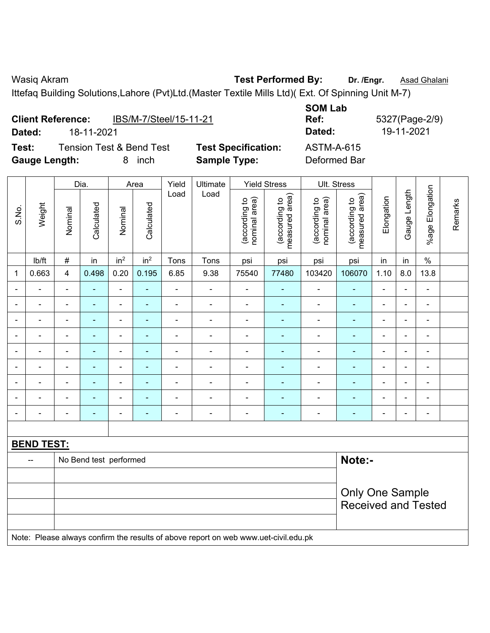Ittefaq Building Solutions,Lahore (Pvt)Ltd.(Master Textile Mills Ltd)( Ext. Of Spinning Unit M-7)

| <b>Client Reference:</b> |            |                          | IBS/M-7/Steel/15-11-21     | <b>SOM Lab</b><br>Ref: | 5327(Page-2) |
|--------------------------|------------|--------------------------|----------------------------|------------------------|--------------|
| Dated:                   | 18-11-2021 |                          |                            | Dated:                 | 19-11-2021   |
| Test:                    |            | Tension Test & Bend Test | <b>Test Specification:</b> | <b>ASTM-A-615</b>      |              |
| <b>Gauge Length:</b>     |            | inch<br>8                | <b>Sample Type:</b>        | Deformed Bar           |              |

**SOM Lab Ref:** 5327(Page-2/9) **Test:** Tension Test & Bend Test **Test Specification:** ASTM-A-615

|                |                   | Dia.<br>Area                     |                |                          |                                                                                                                                            | Yield                    | Ultimate                                                                            |                                | <b>Yield Stress</b>             |                                | Ult. Stress                                          |                          |                |                              |         |
|----------------|-------------------|----------------------------------|----------------|--------------------------|--------------------------------------------------------------------------------------------------------------------------------------------|--------------------------|-------------------------------------------------------------------------------------|--------------------------------|---------------------------------|--------------------------------|------------------------------------------------------|--------------------------|----------------|------------------------------|---------|
| S.No.          | Weight            | Nominal                          | Calculated     | Nominal                  | Calculated                                                                                                                                 | Load                     | Load                                                                                | (according to<br>nominal area) | (according to<br>measured area) | (according to<br>nominal area) | (according to<br>measured area)                      | Elongation               | Gauge Length   | %age Elongation              | Remarks |
|                | lb/ft             | $\#$                             | in             | in <sup>2</sup>          | in <sup>2</sup>                                                                                                                            | Tons                     | Tons                                                                                | psi                            | psi                             | psi                            | psi                                                  | in                       | in             | $\%$                         |         |
| 1              | 0.663             | 4                                | 0.498          | 0.20                     | 0.195                                                                                                                                      | 6.85                     | 9.38                                                                                | 75540                          | 77480                           | 103420                         | 106070                                               | 1.10                     | 8.0            | 13.8                         |         |
|                |                   | $\blacksquare$                   | $\blacksquare$ | $\blacksquare$           |                                                                                                                                            | ä,                       | $\blacksquare$                                                                      | $\blacksquare$                 | $\blacksquare$                  | $\overline{\phantom{a}}$       | $\blacksquare$                                       | $\overline{\phantom{a}}$ |                | $\blacksquare$               |         |
|                |                   | $\blacksquare$                   | $\blacksquare$ | $\blacksquare$           | ٠                                                                                                                                          | $\overline{\phantom{a}}$ | $\blacksquare$                                                                      | $\blacksquare$                 | $\blacksquare$                  | $\blacksquare$                 | $\blacksquare$                                       | $\blacksquare$           | $\blacksquare$ | $\blacksquare$               |         |
| $\blacksquare$ |                   | $\blacksquare$                   | $\blacksquare$ | $\overline{\phantom{a}}$ | $\blacksquare$                                                                                                                             | Ē,                       | ÷                                                                                   | $\blacksquare$                 | $\blacksquare$                  | $\blacksquare$                 | $\blacksquare$                                       | Ē,                       | ÷              | $\blacksquare$               |         |
| $\blacksquare$ | $\blacksquare$    | $\blacksquare$                   | $\blacksquare$ | $\blacksquare$           | ٠                                                                                                                                          | $\blacksquare$           | $\overline{\phantom{a}}$                                                            | $\blacksquare$                 | ٠                               | $\blacksquare$                 | $\blacksquare$                                       | $\blacksquare$           | $\blacksquare$ | $\qquad \qquad \blacksquare$ |         |
|                | ä,                | $\blacksquare$                   | $\blacksquare$ | $\blacksquare$           | $\blacksquare$<br>ä,<br>÷<br>$\blacksquare$<br>$\blacksquare$<br>$\blacksquare$<br>$\overline{a}$<br>$\blacksquare$<br>$\blacksquare$<br>÷ |                          |                                                                                     |                                |                                 |                                |                                                      |                          |                |                              |         |
|                | ä,                | ä,                               | ä,             | $\blacksquare$           |                                                                                                                                            | ä,                       | ä,                                                                                  | $\blacksquare$                 |                                 | $\blacksquare$                 | $\blacksquare$                                       | L,                       |                | $\blacksquare$               |         |
|                |                   |                                  |                |                          | ٠                                                                                                                                          |                          | $\blacksquare$                                                                      |                                |                                 |                                | $\blacksquare$                                       |                          |                | ۰                            |         |
|                |                   | $\blacksquare$                   |                |                          | $\blacksquare$                                                                                                                             |                          | $\blacksquare$                                                                      | $\blacksquare$                 |                                 |                                |                                                      |                          |                | $\blacksquare$               |         |
| $\blacksquare$ |                   | $\blacksquare$                   | $\blacksquare$ | $\blacksquare$           | $\blacksquare$                                                                                                                             | ä,                       | ä,                                                                                  | ä,                             | ٠                               | $\blacksquare$                 | $\blacksquare$                                       | Ē,                       |                | $\blacksquare$               |         |
|                |                   |                                  |                |                          |                                                                                                                                            |                          |                                                                                     |                                |                                 |                                |                                                      |                          |                |                              |         |
|                | <b>BEND TEST:</b> |                                  |                |                          |                                                                                                                                            |                          |                                                                                     |                                |                                 |                                |                                                      |                          |                |                              |         |
|                |                   | Note:-<br>No Bend test performed |                |                          |                                                                                                                                            |                          |                                                                                     |                                |                                 |                                |                                                      |                          |                |                              |         |
|                |                   |                                  |                |                          |                                                                                                                                            |                          |                                                                                     |                                |                                 |                                |                                                      |                          |                |                              |         |
|                |                   |                                  |                |                          |                                                                                                                                            |                          |                                                                                     |                                |                                 |                                | <b>Only One Sample</b><br><b>Received and Tested</b> |                          |                |                              |         |
|                |                   |                                  |                |                          |                                                                                                                                            |                          | Note: Please always confirm the results of above report on web www.uet-civil.edu.pk |                                |                                 |                                |                                                      |                          |                |                              |         |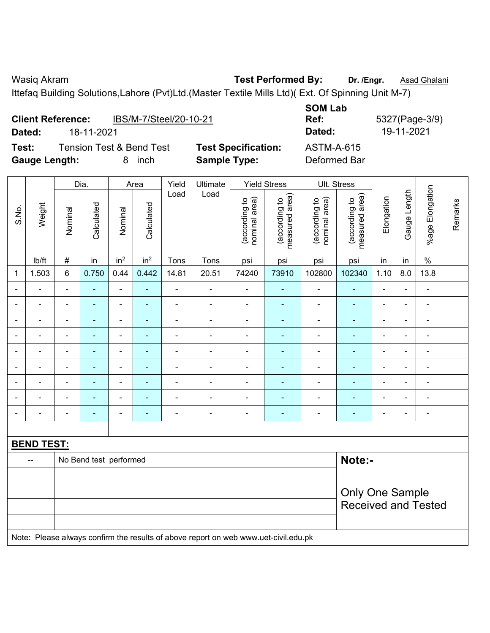Ittefaq Building Solutions,Lahore (Pvt)Ltd.(Master Textile Mills Ltd)( Ext. Of Spinning Unit M-7)

|                      | <b>Client Reference:</b> | IBS/M-7/Steel/20-10-21              |                            | <b>SOM Lab</b><br>Ref: |
|----------------------|--------------------------|-------------------------------------|----------------------------|------------------------|
| Dated:               | 18-11-2021               |                                     |                            | Dated:                 |
| Test:                |                          | <b>Tension Test &amp; Bend Test</b> | <b>Test Specification:</b> | <b>ASTM-A-615</b>      |
| <b>Gauge Length:</b> |                          | inch<br>8                           | <b>Sample Type:</b>        | Deformed Bar           |

**SOM Lab Ref:** 5327(Page-3/9) **Dated:** 18-11-2021 **Dated:** 19-11-2021 **Texte: Test Specification:** ASTM-A-615

|                |                   |                          | Dia.                   |                              | Area            | Yield<br>Load            | Ultimate<br>Load                                                                    |                                | <b>Yield Stress</b>             |                                | Ult. Stress                     |                          |                |                 |         |
|----------------|-------------------|--------------------------|------------------------|------------------------------|-----------------|--------------------------|-------------------------------------------------------------------------------------|--------------------------------|---------------------------------|--------------------------------|---------------------------------|--------------------------|----------------|-----------------|---------|
| S.No.          | Weight            | Nominal                  | Calculated             | Nominal                      | Calculated      |                          |                                                                                     | nominal area)<br>(according to | measured area)<br>(according to | (according to<br>nominal area) | (according to<br>measured area) | Elongation               | Gauge Length   | %age Elongation | Remarks |
|                | Ib/ft             | #                        | in                     | in <sup>2</sup>              | in <sup>2</sup> | Tons                     | Tons                                                                                | psi                            | psi                             | psi                            | psi                             | in                       | in             | $\%$            |         |
| $\mathbf 1$    | 1.503             | 6                        | 0.750                  | 0.44                         | 0.442           | 14.81                    | 20.51                                                                               | 74240                          | 73910                           | 102800                         | 102340                          | 1.10                     | 8.0            | 13.8            |         |
| $\blacksquare$ | ä,                | $\blacksquare$           | ÷,                     | $\frac{1}{2}$                | ۰               | $\blacksquare$           | $\overline{\phantom{0}}$                                                            | $\frac{1}{2}$                  | $\blacksquare$                  | $\blacksquare$                 | ٠                               | $\blacksquare$           | $\blacksquare$ | $\blacksquare$  |         |
|                | $\blacksquare$    | $\blacksquare$           | $\blacksquare$         | $\blacksquare$               | Ξ               | $\blacksquare$           | $\blacksquare$                                                                      | $\blacksquare$                 | $\blacksquare$                  | $\blacksquare$                 | ٠                               | $\blacksquare$           | $\blacksquare$ | $\blacksquare$  |         |
|                |                   | $\blacksquare$           | ۰                      | $\blacksquare$               |                 | $\overline{a}$           | $\overline{a}$                                                                      | $\overline{a}$                 | $\blacksquare$                  | $\blacksquare$                 | $\overline{\phantom{a}}$        | $\blacksquare$           |                | $\blacksquare$  |         |
| $\blacksquare$ |                   |                          |                        | $\blacksquare$               |                 | $\overline{\phantom{0}}$ | ÷                                                                                   | ÷                              |                                 | $\blacksquare$                 |                                 | $\blacksquare$           | -              | $\blacksquare$  |         |
| $\overline{a}$ |                   | $\blacksquare$           | Ē.                     | ÷,                           |                 | Ē,                       | ÷                                                                                   | ÷,                             | ÷                               | Ē,                             | ÷                               | $\blacksquare$           | $\blacksquare$ | $\blacksquare$  |         |
| $\blacksquare$ |                   | $\blacksquare$           | Ē.                     | $\qquad \qquad \blacksquare$ |                 | Ē,                       | $\blacksquare$                                                                      | ÷                              | $\blacksquare$                  | $\blacksquare$                 | ÷                               | $\blacksquare$           | $\blacksquare$ | $\blacksquare$  |         |
| $\blacksquare$ | $\blacksquare$    | $\overline{\phantom{0}}$ | $\blacksquare$         | $\blacksquare$               | ۰               | $\blacksquare$           | $\frac{1}{2}$                                                                       | $\blacksquare$                 | $\blacksquare$                  | $\blacksquare$                 | ÷                               | $\blacksquare$           | $\blacksquare$ | ÷,              |         |
|                | $\blacksquare$    | $\blacksquare$           | Ē,                     | $\overline{\phantom{0}}$     |                 | ä,                       | ÷                                                                                   | $\blacksquare$                 | $\blacksquare$                  | $\blacksquare$                 | ۰                               | ä,                       | $\blacksquare$ | ÷,              |         |
| $\blacksquare$ | $\blacksquare$    | $\overline{\phantom{0}}$ | $\blacksquare$         | $\overline{\phantom{a}}$     | ۰               | $\overline{\phantom{a}}$ | $\blacksquare$                                                                      | $\blacksquare$                 | $\blacksquare$                  | $\blacksquare$                 | $\blacksquare$                  | $\overline{\phantom{a}}$ | $\blacksquare$ | $\blacksquare$  |         |
|                |                   |                          |                        |                              |                 |                          |                                                                                     |                                |                                 |                                |                                 |                          |                |                 |         |
|                | <b>BEND TEST:</b> |                          |                        |                              |                 |                          |                                                                                     |                                |                                 |                                |                                 |                          |                |                 |         |
|                | $\overline{a}$    |                          | No Bend test performed |                              |                 |                          |                                                                                     |                                |                                 |                                | Note:-                          |                          |                |                 |         |
|                |                   |                          |                        |                              |                 |                          |                                                                                     |                                |                                 |                                |                                 |                          |                |                 |         |
|                |                   |                          |                        |                              |                 |                          |                                                                                     |                                |                                 |                                | Only One Sample                 |                          |                |                 |         |
|                |                   |                          |                        |                              |                 |                          |                                                                                     |                                |                                 |                                | <b>Received and Tested</b>      |                          |                |                 |         |
|                |                   |                          |                        |                              |                 |                          |                                                                                     |                                |                                 |                                |                                 |                          |                |                 |         |
|                |                   |                          |                        |                              |                 |                          | Note: Please always confirm the results of above report on web www.uet-civil.edu.pk |                                |                                 |                                |                                 |                          |                |                 |         |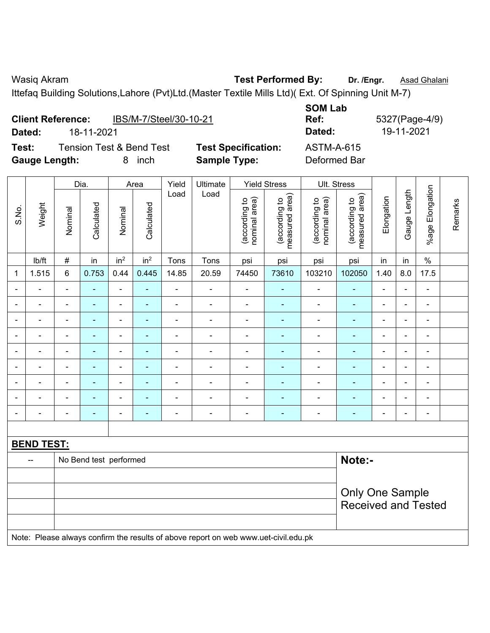Wasiq Akram **Test Performed By:** Dr. /Engr. **Asad Ghalani Wasiq Akram** 

Ittefaq Building Solutions,Lahore (Pvt)Ltd.(Master Textile Mills Ltd)( Ext. Of Spinning Unit M-7)

|       | <b>Client Reference:</b><br>Dated: |         | 18-11-2021                          |                 |                 | IBS/M-7/Steel/30-10-21 |                                                   |                                     |                                      | <b>SOM Lab</b><br>Ref:<br>Dated:    |                                         | 5327(Page-4) | 19-11-2021      |                        |
|-------|------------------------------------|---------|-------------------------------------|-----------------|-----------------|------------------------|---------------------------------------------------|-------------------------------------|--------------------------------------|-------------------------------------|-----------------------------------------|--------------|-----------------|------------------------|
| Test: | <b>Gauge Length:</b>               |         | <b>Tension Test &amp; Bend Test</b> | 8               | inch            |                        | <b>Test Specification:</b><br><b>Sample Type:</b> |                                     |                                      | <b>ASTM-A-615</b><br>Deformed Bar   |                                         |              |                 |                        |
|       |                                    | Dia.    |                                     |                 | Area            | Yield                  | Ultimate                                          |                                     | <b>Yield Stress</b>                  |                                     | Ult. Stress                             |              |                 |                        |
| S.No. | Weight                             | Nominal | Calculated                          | Nominal         | Calculated      | Load                   | Load                                              | area)<br>악<br>(according<br>nominal | area)<br>ೆ<br>(according<br>measured | area)<br>đ<br>(according<br>nominal | rea)<br>đ<br>according<br>ω<br>measured | Elongation   | Length<br>Gauge | Elongation<br>$%a$ ade |
|       | lb/ft                              | #       | in                                  | in <sup>2</sup> | in <sup>2</sup> | Tons                   | Tons                                              | psi                                 | psi                                  | psi                                 | psi                                     | in           | in              | $\%$                   |
|       | 1.515                              | 6       | 0.753                               | 0.44            | 0.445           | 14.85                  | 20.59                                             | 74450                               | 73610                                | 103210<br>102050                    |                                         | 1.40         | 8.0             | 17.5                   |
|       |                                    |         |                                     |                 |                 |                        |                                                   |                                     |                                      |                                     |                                         |              |                 |                        |

|                |                                                                                     | Dia.<br>Area    |                        |                                                                               | Yield           | Ultimate       |                          | <b>Yield Stress</b>            | UIt. Stress                     |                                |                                 |                |                |                              |         |
|----------------|-------------------------------------------------------------------------------------|-----------------|------------------------|-------------------------------------------------------------------------------|-----------------|----------------|--------------------------|--------------------------------|---------------------------------|--------------------------------|---------------------------------|----------------|----------------|------------------------------|---------|
| S.No.          | Weight                                                                              | Nominal         | Calculated             | Nominal                                                                       | Calculated      | Load           | Load                     | (according to<br>nominal area) | (according to<br>measured area) | nominal area)<br>(according to | measured area)<br>(according to | Elongation     | Gauge Length   | %age Elongation              | Remarks |
|                | lb/ft                                                                               | $\#$            | in                     | in <sup>2</sup>                                                               | in <sup>2</sup> | Tons           | Tons                     | psi                            | psi                             | psi                            | psi                             | in             | in             | $\%$                         |         |
| 1              | 1.515                                                                               | 6               | 0.753                  | 0.44                                                                          | 0.445           | 14.85          | 20.59                    | 74450                          | 73610                           | 103210                         | 102050                          | 1.40           | 8.0            | 17.5                         |         |
|                |                                                                                     | $\blacksquare$  |                        | $\blacksquare$                                                                |                 | ä,             | ÷                        |                                |                                 | ä,                             | ÷,                              | L,             | $\blacksquare$ | $\blacksquare$               |         |
|                |                                                                                     | $\blacksquare$  | ÷                      | $\blacksquare$                                                                |                 | L,             | ÷,                       |                                |                                 | L,                             | ÷,                              | ä,             | ÷              | $\blacksquare$               |         |
| $\blacksquare$ |                                                                                     | $\blacksquare$  | $\blacksquare$         | $\overline{\phantom{a}}$                                                      |                 | Ē,             | ÷,                       | $\blacksquare$                 |                                 | Ē,                             | $\blacksquare$                  | $\blacksquare$ | $\frac{1}{2}$  | $\blacksquare$               |         |
| $\blacksquare$ |                                                                                     | $\blacksquare$  | ٠                      | $\blacksquare$                                                                | $\blacksquare$  | $\blacksquare$ | $\overline{\phantom{0}}$ | $\blacksquare$                 | ٠                               | $\blacksquare$                 | $\blacksquare$                  | ä,             | $\blacksquare$ | $\qquad \qquad \blacksquare$ |         |
| $\blacksquare$ |                                                                                     | $\blacksquare$  | ÷,                     | $\blacksquare$                                                                | $\blacksquare$  | Ē,             | ÷                        | $\blacksquare$                 | $\blacksquare$                  | $\blacksquare$                 | $\blacksquare$                  | ä,             | ÷,             | ÷,                           |         |
|                |                                                                                     | Ē,              | $\overline{a}$         | $\blacksquare$<br>ä,<br>÷<br>L,<br>÷<br>$\blacksquare$<br>$\blacksquare$<br>٠ |                 |                |                          |                                |                                 |                                |                                 |                |                |                              |         |
|                |                                                                                     |                 |                        | $\blacksquare$                                                                |                 |                |                          |                                |                                 |                                |                                 |                | $\blacksquare$ | $\blacksquare$               |         |
| $\blacksquare$ |                                                                                     | ä,              | $\blacksquare$         | $\overline{\phantom{a}}$                                                      | ٠               | Ē,             | ÷,                       | $\blacksquare$                 | ٠                               | Ē,                             | $\blacksquare$                  | $\blacksquare$ | $\frac{1}{2}$  | $\blacksquare$               |         |
| $\overline{a}$ |                                                                                     | $\blacksquare$  | ٠                      | $\overline{\phantom{a}}$                                                      | ٠               | ٠              | ÷                        | $\blacksquare$                 | $\overline{\phantom{0}}$        | $\blacksquare$                 | $\overline{\phantom{0}}$        | $\blacksquare$ | ä,             | $\qquad \qquad \blacksquare$ |         |
|                |                                                                                     |                 |                        |                                                                               |                 |                |                          |                                |                                 |                                |                                 |                |                |                              |         |
|                | <b>BEND TEST:</b>                                                                   |                 |                        |                                                                               |                 |                |                          |                                |                                 |                                |                                 |                |                |                              |         |
|                |                                                                                     |                 | No Bend test performed |                                                                               |                 |                |                          |                                |                                 |                                | Note:-                          |                |                |                              |         |
|                |                                                                                     |                 |                        |                                                                               |                 |                |                          |                                |                                 |                                |                                 |                |                |                              |         |
|                |                                                                                     | Only One Sample |                        |                                                                               |                 |                |                          |                                |                                 |                                |                                 |                |                |                              |         |
|                |                                                                                     |                 |                        |                                                                               |                 |                |                          |                                |                                 |                                | <b>Received and Tested</b>      |                |                |                              |         |
|                |                                                                                     |                 |                        |                                                                               |                 |                |                          |                                |                                 |                                |                                 |                |                |                              |         |
|                | Note: Please always confirm the results of above report on web www.uet-civil.edu.pk |                 |                        |                                                                               |                 |                |                          |                                |                                 |                                |                                 |                |                |                              |         |

(Page-4/9)<br>11-2021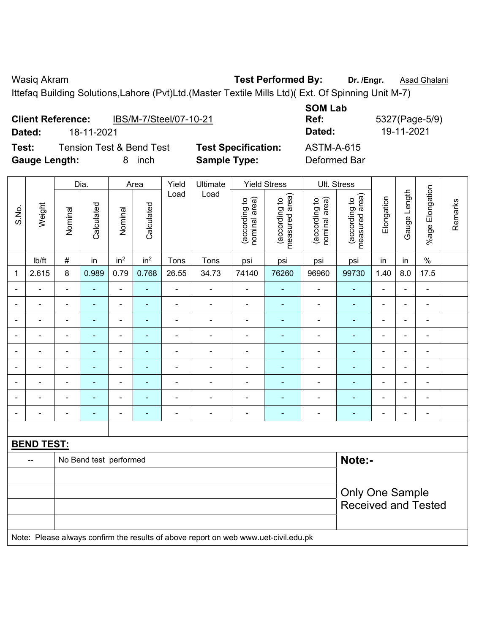**Client Reference:** IBS/M-7/Steel/07-10-21

Wasiq Akram **Test Performed By:** Dr. /Engr. **Asad Ghalani** Case Assembly Dr. /Engr. **Asad Ghalani** 

**SOM Lab** 

Ittefaq Building Solutions,Lahore (Pvt)Ltd.(Master Textile Mills Ltd)( Ext. Of Spinning Unit M-7)

|                | Dated:<br>18-11-2021     |                        |                |                              |                                               |                          |                                                   |                                |                                 |                                   | Dated:<br>19-11-2021                                 |                |                |                              |         |
|----------------|--------------------------|------------------------|----------------|------------------------------|-----------------------------------------------|--------------------------|---------------------------------------------------|--------------------------------|---------------------------------|-----------------------------------|------------------------------------------------------|----------------|----------------|------------------------------|---------|
| Test:          | <b>Gauge Length:</b>     |                        |                |                              | <b>Tension Test &amp; Bend Test</b><br>8 inch |                          | <b>Test Specification:</b><br><b>Sample Type:</b> |                                |                                 | <b>ASTM-A-615</b><br>Deformed Bar |                                                      |                |                |                              |         |
|                |                          |                        | Dia.           |                              | Area                                          | Yield                    | Ultimate                                          |                                | <b>Yield Stress</b>             | Ult. Stress                       |                                                      |                |                |                              |         |
| S.No.          | Weight                   | Nominal                | Calculated     | Nominal                      | Calculated                                    | Load                     | Load                                              | (according to<br>nominal area) | measured area)<br>(according to | (according to<br>nominal area)    | measured area)<br>(according to                      | Elongation     | Gauge Length   | %age Elongation              | Remarks |
|                | lb/ft                    | $\#$                   | in             | in <sup>2</sup>              | in <sup>2</sup>                               | Tons                     | Tons                                              | psi                            | psi                             | psi                               | psi                                                  | in             | in             | $\%$                         |         |
| $\mathbf{1}$   | 2.615                    | 8                      | 0.989          | 0.79                         | 0.768                                         | 26.55                    | 34.73                                             | 74140                          | 76260                           | 96960                             | 99730                                                | 1.40           | 8.0            | 17.5                         |         |
|                |                          | $\overline{a}$         | ä,             | $\overline{\phantom{a}}$     | $\blacksquare$                                | $\overline{a}$           | $\overline{a}$                                    | $\overline{a}$                 | $\blacksquare$                  | $\overline{\phantom{a}}$          |                                                      |                |                |                              |         |
|                | $\blacksquare$           | ä,                     | ۰              | $\blacksquare$               | $\blacksquare$                                | $\blacksquare$           | $\blacksquare$                                    | $\blacksquare$                 | ä,                              | $\blacksquare$                    | $\blacksquare$                                       | L,             | $\blacksquare$ | $\qquad \qquad \blacksquare$ |         |
|                | ÷                        | ÷,                     | $\blacksquare$ | $\qquad \qquad \blacksquare$ | $\blacksquare$                                | ÷,                       | $\blacksquare$                                    | ä,                             | ä,                              | $\blacksquare$                    | $\blacksquare$                                       | L,             | ä,             | ÷,                           |         |
| $\blacksquare$ | $\blacksquare$           | $\blacksquare$         | ÷,             | $\blacksquare$               | $\blacksquare$                                | $\blacksquare$           | $\frac{1}{2}$                                     | $\overline{\phantom{a}}$       | ÷                               | $\blacksquare$                    | $\blacksquare$                                       | $\blacksquare$ | ä,             | $\frac{1}{2}$                |         |
|                | ÷                        | $\blacksquare$         | ۰              | $\blacksquare$               | ۰                                             | $\overline{\phantom{a}}$ | $\overline{\phantom{a}}$                          | $\blacksquare$                 | ٠                               | $\overline{\phantom{0}}$          |                                                      | $\blacksquare$ | ÷              | $\qquad \qquad \blacksquare$ |         |
|                |                          | $\blacksquare$         | ۰              | $\qquad \qquad \blacksquare$ | ٠                                             | $\overline{\phantom{0}}$ | $\blacksquare$                                    | $\blacksquare$                 | ÷                               | $\qquad \qquad \blacksquare$      |                                                      | $\blacksquare$ | $\blacksquare$ | $\overline{\phantom{a}}$     |         |
|                |                          | $\blacksquare$         | ä,             | ÷                            | $\overline{\phantom{0}}$                      | ÷                        | $\overline{\phantom{a}}$                          | $\overline{\phantom{a}}$       | $\blacksquare$                  | $\qquad \qquad \blacksquare$      |                                                      | ÷              |                | $\blacksquare$               |         |
|                |                          |                        |                | $\overline{a}$               |                                               |                          |                                                   |                                | ÷                               |                                   |                                                      |                |                |                              |         |
|                |                          | $\blacksquare$         | ä,             | ÷                            | $\overline{\phantom{0}}$                      | ÷                        | $\frac{1}{2}$                                     | $\blacksquare$                 | ÷                               | $\qquad \qquad \blacksquare$      |                                                      | Ē,             | ÷              | -                            |         |
|                |                          |                        |                |                              |                                               |                          |                                                   |                                |                                 |                                   |                                                      |                |                |                              |         |
|                |                          | <b>BEND TEST:</b>      |                |                              |                                               |                          |                                                   |                                |                                 |                                   |                                                      |                |                |                              |         |
|                | $\overline{\phantom{a}}$ | No Bend test performed | Note:-         |                              |                                               |                          |                                                   |                                |                                 |                                   |                                                      |                |                |                              |         |
|                |                          |                        |                |                              |                                               |                          |                                                   |                                |                                 |                                   |                                                      |                |                |                              |         |
|                |                          |                        |                |                              |                                               |                          |                                                   |                                |                                 |                                   | <b>Only One Sample</b><br><b>Received and Tested</b> |                |                |                              |         |
|                |                          |                        |                |                              |                                               |                          |                                                   |                                |                                 |                                   |                                                      |                |                |                              |         |

Note: Please always confirm the results of above report on web www.uet-civil.edu.pk

**Ref:** 5327(Page-5/9)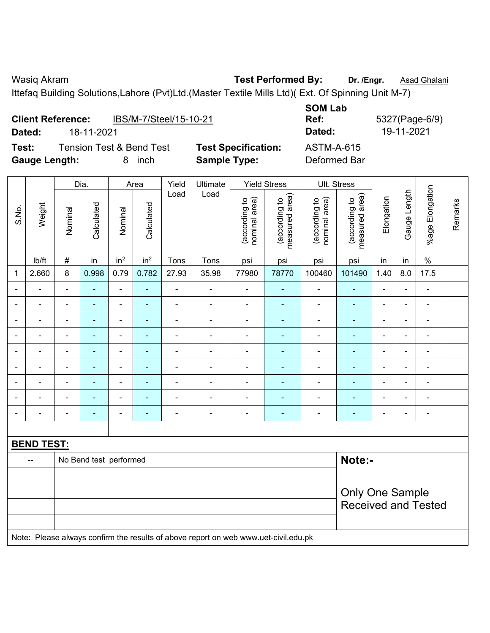Wasiq Akram **Test Performed By:** Dr. /Engr. **Asad Ghalani Wasiq Akram** 

Ittefaq Building Solutions,Lahore (Pvt)Ltd.(Master Textile Mills Ltd)( Ext. Of Spinning Unit M-7)

| Dated:                                                               |  | <b>Client Reference:</b><br>18-11-2021 | IBS/M-7/Steel/15-10-21 |               |                                                   | <b>SOM Lab</b><br>Ref:<br>Dated:     |                                   | 5327(Page-6)<br>19-11-2021   |  |                         |
|----------------------------------------------------------------------|--|----------------------------------------|------------------------|---------------|---------------------------------------------------|--------------------------------------|-----------------------------------|------------------------------|--|-------------------------|
| <b>Tension Test &amp; Bend Test</b><br>Test:<br><b>Gauge Length:</b> |  |                                        | inch<br>8              |               | <b>Test Specification:</b><br><b>Sample Type:</b> |                                      | <b>ASTM-A-615</b><br>Deformed Bar |                              |  |                         |
|                                                                      |  | Dia.                                   | Area                   | Yield<br>∟oad | Ultimate<br>Load                                  | <b>Yield Stress</b><br>$\widehat{=}$ |                                   | Ult. Stress<br>$\widehat{=}$ |  | $\overline{\mathsf{S}}$ |

|                |                          |                              | Dia.                   |                 | Area            | Yield          | Ultimate                                                                            |                                | <b>Yield Stress</b>             | Ult. Stress                    |                                 |                          |                |                              |         |
|----------------|--------------------------|------------------------------|------------------------|-----------------|-----------------|----------------|-------------------------------------------------------------------------------------|--------------------------------|---------------------------------|--------------------------------|---------------------------------|--------------------------|----------------|------------------------------|---------|
| S.No.          | Weight                   | Nominal                      | Calculated             | Nominal         | Calculated      | Load           | Load                                                                                | nominal area)<br>(according to | (according to<br>measured area) | (according to<br>nominal area) | (according to<br>measured area) | Elongation               | Gauge Length   | %age Elongation              | Remarks |
|                | lb/ft                    | $\#$                         | in                     | in <sup>2</sup> | in <sup>2</sup> | Tons           | Tons                                                                                | psi                            | psi                             | psi                            | psi                             | in                       | in             | $\%$                         |         |
| 1              | 2.660                    | 8                            | 0.998                  | 0.79            | 0.782           | 27.93          | 35.98                                                                               | 77980                          | 78770                           | 100460                         | 101490                          | 1.40                     | 8.0            | 17.5                         |         |
|                | $\overline{\phantom{0}}$ | $\blacksquare$               | $\blacksquare$         | ÷               | $\blacksquare$  | $\blacksquare$ | $\overline{\phantom{a}}$                                                            | $\blacksquare$                 | $\blacksquare$                  | $\blacksquare$                 | $\blacksquare$                  | $\overline{\phantom{a}}$ | $\blacksquare$ | ÷,                           |         |
|                | ä,                       | $\blacksquare$               | $\blacksquare$         | ÷               | $\blacksquare$  | $\blacksquare$ | $\blacksquare$                                                                      | $\blacksquare$                 | $\blacksquare$                  | $\blacksquare$                 | $\blacksquare$                  | $\overline{\phantom{a}}$ | ÷,             | $\blacksquare$               |         |
|                |                          |                              | $\blacksquare$         | $\blacksquare$  |                 |                | $\overline{\phantom{a}}$                                                            | $\blacksquare$                 | $\overline{\phantom{a}}$        | $\blacksquare$                 | $\blacksquare$                  | ÷                        | $\overline{a}$ | $\blacksquare$               |         |
|                | $\blacksquare$           | $\blacksquare$               |                        | $\blacksquare$  |                 |                | $\blacksquare$                                                                      | Ē,                             |                                 | -                              |                                 | $\blacksquare$           | $\blacksquare$ | $\blacksquare$               |         |
| $\blacksquare$ | $\overline{\phantom{0}}$ | $\qquad \qquad \blacksquare$ | ۰                      | $\overline{a}$  | ٠               | $\blacksquare$ | $\overline{\phantom{a}}$                                                            | $\blacksquare$                 |                                 | $\qquad \qquad \blacksquare$   | $\overline{\phantom{0}}$        | -                        | $\blacksquare$ | $\overline{\phantom{a}}$     |         |
|                | $\blacksquare$           | $\blacksquare$               | $\blacksquare$         | ÷,              | $\blacksquare$  | $\blacksquare$ | $\overline{\phantom{a}}$                                                            | $\blacksquare$                 | $\blacksquare$                  | $\blacksquare$                 | $\blacksquare$                  | $\blacksquare$           | $\blacksquare$ | $\qquad \qquad \blacksquare$ |         |
|                | $\blacksquare$           | $\blacksquare$               | ÷,                     | ÷,              | $\blacksquare$  | $\blacksquare$ | $\blacksquare$                                                                      | ä,                             | $\overline{\phantom{a}}$        | $\blacksquare$                 | ÷,                              | $\blacksquare$           | ÷,             | ÷,                           |         |
|                |                          |                              | ÷,                     | ä,              |                 |                | $\blacksquare$                                                                      | L,                             | $\blacksquare$                  | ä,                             | ä,                              | L,                       |                | $\blacksquare$               |         |
|                | $\blacksquare$           | $\blacksquare$               | ۰                      | $\blacksquare$  |                 | $\blacksquare$ | $\overline{a}$                                                                      | L,                             | ٠                               | $\blacksquare$                 | Ē.                              | ä,                       | $\blacksquare$ | $\blacksquare$               |         |
|                |                          |                              |                        |                 |                 |                |                                                                                     |                                |                                 |                                |                                 |                          |                |                              |         |
|                | <b>BEND TEST:</b>        |                              |                        |                 |                 |                |                                                                                     |                                |                                 |                                |                                 |                          |                |                              |         |
|                | --                       |                              | No Bend test performed |                 |                 |                |                                                                                     |                                |                                 |                                | Note:-                          |                          |                |                              |         |
|                |                          |                              |                        |                 |                 |                |                                                                                     |                                |                                 |                                |                                 |                          |                |                              |         |
|                |                          |                              |                        |                 |                 |                |                                                                                     |                                |                                 |                                | <b>Only One Sample</b>          |                          |                |                              |         |
|                |                          |                              |                        |                 |                 |                |                                                                                     |                                |                                 |                                | <b>Received and Tested</b>      |                          |                |                              |         |
|                |                          |                              |                        |                 |                 |                | Note: Please always confirm the results of above report on web www.uet-civil.edu.pk |                                |                                 |                                |                                 |                          |                |                              |         |

**Ref:** 5327(Page-6/9)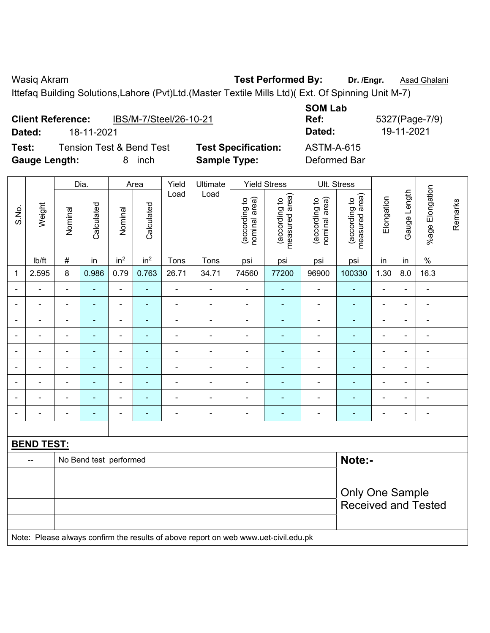Wasiq Akram **Test Performed By:** Dr. /Engr. **Asad Ghalani Wasiq Akram** 

Ittefaq Building Solutions,Lahore (Pvt)Ltd.(Master Textile Mills Ltd)( Ext. Of Spinning Unit M-7)

|                      | <b>Client Reference:</b>            | IBS/M-7/Steel/26-10-21     | <b>SOM Lab</b><br>Ref: |
|----------------------|-------------------------------------|----------------------------|------------------------|
| Dated:               | 18-11-2021                          |                            | Dated:                 |
| Test:                | <b>Tension Test &amp; Bend Test</b> | <b>Test Specification:</b> | <b>ASTM-A-615</b>      |
| <b>Gauge Length:</b> | inch                                | <b>Sample Type:</b>        | Deformed Bar           |

**SOM Lab Ref:** 5327(Page-7/9) **Dated:** 18-11-2021 **Dated:** 19-11-2021 **Test:** Test ASTM-A-615

|                          |                          |                        | Dia.                                                       |                          | Area            | Yield          | Ultimate                                                                            |                                | <b>Yield Stress</b>             |                                | Ult. Stress                                          |                          |                |                              |         |
|--------------------------|--------------------------|------------------------|------------------------------------------------------------|--------------------------|-----------------|----------------|-------------------------------------------------------------------------------------|--------------------------------|---------------------------------|--------------------------------|------------------------------------------------------|--------------------------|----------------|------------------------------|---------|
| S.No.                    | Weight                   | Nominal                | Calculated                                                 | Nominal                  | Calculated      | Load           | Load                                                                                | (according to<br>nominal area) | measured area)<br>(according to | (according to<br>nominal area) | (according to<br>measured area)                      | Elongation               | Gauge Length   | Elongation<br>$%$ age        | Remarks |
|                          | lb/ft                    | $\#$                   | in                                                         | in <sup>2</sup>          | in <sup>2</sup> | Tons           | Tons                                                                                | psi                            | psi                             | psi                            | psi                                                  | in                       | in             | $\%$                         |         |
| 1                        | 2.595                    | 8                      | 0.986                                                      | 0.79                     | 0.763           | 26.71          | 34.71                                                                               | 74560                          | 77200                           | 96900                          | 100330                                               | 1.30                     | 8.0            | 16.3                         |         |
| $\blacksquare$           | $\blacksquare$           | $\blacksquare$         | ä,                                                         | $\overline{\phantom{0}}$ | ÷               | $\blacksquare$ | $\blacksquare$                                                                      | $\blacksquare$                 | ٠                               | $\overline{\phantom{a}}$       | $\blacksquare$                                       | $\blacksquare$           | $\blacksquare$ | $\qquad \qquad \blacksquare$ |         |
| $\blacksquare$           | $\overline{a}$           | $\blacksquare$         | $\blacksquare$                                             | $\blacksquare$           | $\blacksquare$  | $\blacksquare$ | $\blacksquare$                                                                      | $\blacksquare$                 | $\blacksquare$                  | $\overline{\phantom{a}}$       | $\blacksquare$                                       | $\blacksquare$           | $\blacksquare$ | $\blacksquare$               |         |
| $\blacksquare$           | $\blacksquare$           | $\overline{a}$         | $\blacksquare$                                             | $\blacksquare$           | $\blacksquare$  | $\blacksquare$ | $\overline{a}$                                                                      | $\blacksquare$                 | ÷                               | $\blacksquare$                 | $\blacksquare$                                       | $\overline{\phantom{a}}$ | $\blacksquare$ | $\overline{\phantom{a}}$     |         |
| $\blacksquare$           | $\blacksquare$           | $\blacksquare$         | ÷,                                                         | $\blacksquare$           | $\blacksquare$  | $\blacksquare$ | $\blacksquare$                                                                      | $\blacksquare$                 | Ξ                               | $\qquad \qquad \blacksquare$   | $\blacksquare$                                       | $\blacksquare$           | $\blacksquare$ | $\blacksquare$               |         |
|                          |                          |                        | ÷<br>$\blacksquare$<br>Ē.<br>٠<br>۰<br>۰<br>$\blacksquare$ |                          |                 |                |                                                                                     |                                |                                 |                                |                                                      |                          |                | $\blacksquare$               |         |
|                          |                          | $\blacksquare$         | ÷                                                          |                          | $\blacksquare$  |                | $\overline{a}$                                                                      | $\blacksquare$                 | ۰                               | $\blacksquare$                 | ۰                                                    | $\blacksquare$           |                | $\blacksquare$               |         |
|                          | $\overline{\phantom{0}}$ | $\blacksquare$         | Ē.                                                         | ٠                        | ۰               |                |                                                                                     | $\blacksquare$                 | ۰                               | $\blacksquare$                 |                                                      | ÷                        | ä,             | $\blacksquare$               |         |
| $\blacksquare$           | $\overline{\phantom{0}}$ | $\blacksquare$         | ÷,                                                         | $\blacksquare$           | ۰               | $\blacksquare$ | $\blacksquare$                                                                      | $\blacksquare$                 | ٠                               | $\blacksquare$                 | ÷                                                    | $\blacksquare$           | $\blacksquare$ | $\qquad \qquad \blacksquare$ |         |
| $\overline{\phantom{a}}$ | $\blacksquare$           | $\blacksquare$         | $\blacksquare$                                             | $\blacksquare$           | ٠               | $\blacksquare$ | $\blacksquare$                                                                      | $\overline{\phantom{a}}$       | ۰                               | $\overline{\phantom{a}}$       | $\blacksquare$                                       | $\blacksquare$           | $\blacksquare$ | $\frac{1}{2}$                |         |
|                          |                          |                        |                                                            |                          |                 |                |                                                                                     |                                |                                 |                                |                                                      |                          |                |                              |         |
|                          | <b>BEND TEST:</b>        |                        |                                                            |                          |                 |                |                                                                                     |                                |                                 |                                |                                                      |                          |                |                              |         |
|                          |                          | No Bend test performed |                                                            | Note:-                   |                 |                |                                                                                     |                                |                                 |                                |                                                      |                          |                |                              |         |
|                          |                          |                        |                                                            |                          |                 |                |                                                                                     |                                |                                 |                                |                                                      |                          |                |                              |         |
|                          |                          |                        |                                                            |                          |                 |                |                                                                                     |                                |                                 |                                | <b>Only One Sample</b><br><b>Received and Tested</b> |                          |                |                              |         |
|                          |                          |                        |                                                            |                          |                 |                | Note: Please always confirm the results of above report on web www.uet-civil.edu.pk |                                |                                 |                                |                                                      |                          |                |                              |         |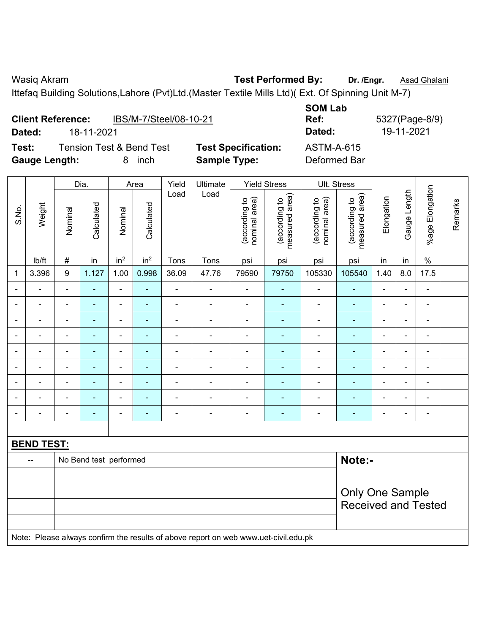Ittefaq Building Solutions,Lahore (Pvt)Ltd.(Master Textile Mills Ltd)( Ext. Of Spinning Unit M-7)

| <b>Client Reference:</b> |            | IBS/M-7/Steel/08-10-21   |                            | <b>SOM Lab</b><br>Ref: | 5327(Page-8) |
|--------------------------|------------|--------------------------|----------------------------|------------------------|--------------|
| Dated:                   | 18-11-2021 |                          |                            | Dated:                 | 19-11-2021   |
| Test:                    |            | Tension Test & Bend Test | <b>Test Specification:</b> | <b>ASTM-A-615</b>      |              |
| <b>Gauge Length:</b>     |            | inch<br>8                | <b>Sample Type:</b>        | Deformed Bar           |              |

**SOM Lab Ref:** 5327(Page-8/9) **Test:** Tension Test & Bend Test **Test Specification:** ASTM-A-615

|                |                   |                |                        | Dia.<br>Area             |                 | Yield                    | Ultimate                                                                            |                                | <b>Yield Stress</b>             |                                | Ult. Stress                     |                |                |                          |         |
|----------------|-------------------|----------------|------------------------|--------------------------|-----------------|--------------------------|-------------------------------------------------------------------------------------|--------------------------------|---------------------------------|--------------------------------|---------------------------------|----------------|----------------|--------------------------|---------|
| S.No.          | Weight            | Nominal        | Calculated             | Nominal                  | Calculated      | Load                     | Load                                                                                | nominal area)<br>(according to | (according to<br>measured area) | (according to<br>nominal area) | (according to<br>measured area) | Elongation     | Gauge Length   | %age Elongation          | Remarks |
|                | Ib/ft             | $\#$           | in                     | in <sup>2</sup>          | in <sup>2</sup> | Tons                     | Tons                                                                                | psi                            | psi                             | psi                            | psi                             | in             | in             | $\%$                     |         |
| 1              | 3.396             | 9              | 1.127                  | 1.00                     | 0.998           | 36.09                    | 47.76                                                                               | 79590                          | 79750                           | 105330                         | 105540                          | 1.40           | 8.0            | 17.5                     |         |
|                |                   | $\blacksquare$ | $\blacksquare$         | $\blacksquare$           | $\blacksquare$  | $\blacksquare$           | $\blacksquare$                                                                      | $\blacksquare$                 | $\blacksquare$                  | $\blacksquare$                 | $\blacksquare$                  | $\blacksquare$ |                | $\blacksquare$           |         |
|                | $\blacksquare$    | $\blacksquare$ |                        | $\overline{\phantom{a}}$ | $\blacksquare$  | $\overline{\phantom{a}}$ | $\blacksquare$                                                                      | $\blacksquare$                 | $\blacksquare$                  | $\overline{\phantom{0}}$       | $\blacksquare$                  | $\blacksquare$ |                | $\blacksquare$           |         |
| $\blacksquare$ | $\blacksquare$    | -              | ۰                      | $\overline{a}$           | ÷               | $\blacksquare$           | $\blacksquare$                                                                      | $\blacksquare$                 | $\blacksquare$                  | $\blacksquare$                 | ۰                               | $\blacksquare$ | $\blacksquare$ | $\overline{\phantom{a}}$ |         |
| $\blacksquare$ | $\blacksquare$    | ä,             | $\blacksquare$         | $\overline{\phantom{a}}$ | ٠               | $\blacksquare$           | $\blacksquare$                                                                      | $\overline{\phantom{a}}$       | $\blacksquare$                  | $\blacksquare$                 | $\blacksquare$                  | $\blacksquare$ | $\blacksquare$ | $\blacksquare$           |         |
|                | $\blacksquare$    | L,             | $\blacksquare$         | $\blacksquare$           | $\blacksquare$  | ä,                       | $\blacksquare$                                                                      | $\blacksquare$                 | ۰                               | ä,                             | $\blacksquare$                  | ä,             |                | $\blacksquare$           |         |
| $\blacksquare$ | $\blacksquare$    | ä,             | ÷,                     | $\blacksquare$           | $\blacksquare$  | $\blacksquare$           | $\blacksquare$                                                                      | $\blacksquare$                 | $\blacksquare$                  | $\blacksquare$                 | $\blacksquare$                  | $\blacksquare$ |                | $\blacksquare$           |         |
|                |                   |                |                        |                          | $\blacksquare$  | $\blacksquare$           | $\blacksquare$                                                                      |                                |                                 | $\blacksquare$                 | $\blacksquare$                  | $\blacksquare$ |                | $\overline{\phantom{a}}$ |         |
|                | $\blacksquare$    |                |                        | $\overline{\phantom{a}}$ |                 |                          | $\blacksquare$                                                                      | $\blacksquare$                 |                                 | $\overline{\phantom{a}}$       |                                 | $\blacksquare$ |                | $\blacksquare$           |         |
| $\blacksquare$ | $\blacksquare$    |                | ÷                      | $\overline{a}$           | ÷               | ÷                        | ÷,                                                                                  | $\blacksquare$                 | $\blacksquare$                  | $\overline{\phantom{a}}$       | ÷                               | $\blacksquare$ | $\blacksquare$ | $\overline{\phantom{a}}$ |         |
|                |                   |                |                        |                          |                 |                          |                                                                                     |                                |                                 |                                |                                 |                |                |                          |         |
|                | <b>BEND TEST:</b> |                |                        |                          |                 |                          |                                                                                     |                                |                                 |                                |                                 |                |                |                          |         |
|                | --                |                | No Bend test performed |                          |                 |                          |                                                                                     |                                |                                 |                                | Note:-                          |                |                |                          |         |
|                |                   |                |                        |                          |                 |                          |                                                                                     |                                |                                 |                                |                                 |                |                |                          |         |
|                |                   |                |                        |                          |                 |                          |                                                                                     |                                |                                 |                                | Only One Sample                 |                |                |                          |         |
|                |                   |                |                        |                          |                 |                          |                                                                                     |                                |                                 | <b>Received and Tested</b>     |                                 |                |                |                          |         |
|                |                   |                |                        |                          |                 |                          |                                                                                     |                                |                                 |                                |                                 |                |                |                          |         |
|                |                   |                |                        |                          |                 |                          | Note: Please always confirm the results of above report on web www.uet-civil.edu.pk |                                |                                 |                                |                                 |                |                |                          |         |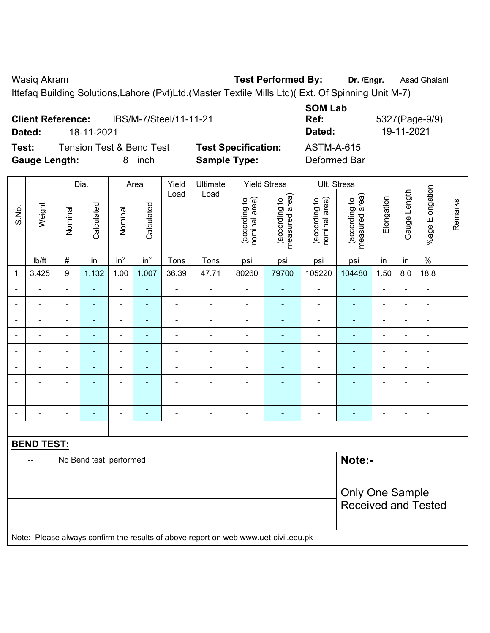Ittefaq Building Solutions,Lahore (Pvt)Ltd.(Master Textile Mills Ltd)( Ext. Of Spinning Unit M-7)

|                      | <b>Client Reference:</b> | IBS/M-7/Steel/11-11-21              |                            | <b>SOM Lab</b><br>Ref: |
|----------------------|--------------------------|-------------------------------------|----------------------------|------------------------|
| Dated:               | 18-11-2021               |                                     |                            | Dated:                 |
| Test:                |                          | <b>Tension Test &amp; Bend Test</b> | <b>Test Specification:</b> | ASTM-A-615             |
| <b>Gauge Length:</b> |                          | inch                                | <b>Sample Type:</b>        | Deformed Bar           |

**SOM Lab Ref:** 5327(Page-9/9) **Dated:** 18-11-2021 **Dated:** 19-11-2021 **Test: Test Specification:** ASTM-A-615

|                |                   |                  |                        | Dia.<br>Area             |                 | Yield                    | Ultimate                                                                            |                                | <b>Yield Stress</b>             |                                | Ult. Stress                                          |                |                |                          |         |
|----------------|-------------------|------------------|------------------------|--------------------------|-----------------|--------------------------|-------------------------------------------------------------------------------------|--------------------------------|---------------------------------|--------------------------------|------------------------------------------------------|----------------|----------------|--------------------------|---------|
| S.No.          | Weight            | Nominal          | Calculated             | Nominal                  | Calculated      | Load                     | Load                                                                                | nominal area)<br>(according to | (according to<br>measured area) | nominal area)<br>(according to | (according to<br>measured area)                      | Elongation     | Gauge Length   | Elongation<br>$%$ age    | Remarks |
|                | lb/ft             | $\#$             | in                     | in <sup>2</sup>          | in <sup>2</sup> | Tons                     | Tons                                                                                | psi                            | psi                             | psi                            | psi                                                  | in             | in             | $\%$                     |         |
| 1              | 3.425             | $\boldsymbol{9}$ | 1.132                  | 1.00                     | 1.007           | 36.39                    | 47.71                                                                               | 80260                          | 79700                           | 105220                         | 104480                                               | 1.50           | 8.0            | 18.8                     |         |
|                |                   | $\blacksquare$   | $\blacksquare$         | $\blacksquare$           | $\blacksquare$  | $\blacksquare$           | $\blacksquare$                                                                      | $\overline{\phantom{a}}$       |                                 | $\overline{\phantom{a}}$       | $\blacksquare$                                       | $\blacksquare$ |                | $\blacksquare$           |         |
| $\blacksquare$ | $\blacksquare$    | $\blacksquare$   | $\blacksquare$         | $\blacksquare$           | $\blacksquare$  | $\blacksquare$           | $\blacksquare$                                                                      | $\overline{\phantom{a}}$       | $\blacksquare$                  | $\blacksquare$                 | $\blacksquare$                                       | $\blacksquare$ | $\blacksquare$ | $\overline{\phantom{a}}$ |         |
| $\blacksquare$ | ä,                | $\blacksquare$   | ä,                     | $\blacksquare$           | ä,              | L,                       | $\blacksquare$                                                                      | $\blacksquare$                 | $\blacksquare$                  | $\blacksquare$                 | L,                                                   | $\blacksquare$ | $\blacksquare$ | $\blacksquare$           |         |
| $\blacksquare$ | ÷                 | $\blacksquare$   | $\blacksquare$         | $\overline{\phantom{a}}$ | $\blacksquare$  | $\overline{\phantom{a}}$ | $\overline{\phantom{a}}$                                                            | $\overline{\phantom{a}}$       | $\blacksquare$                  | $\blacksquare$                 | $\blacksquare$                                       | $\blacksquare$ |                | $\blacksquare$           |         |
| $\blacksquare$ | ä,                | $\blacksquare$   | $\blacksquare$         | $\blacksquare$           | $\blacksquare$  | $\blacksquare$           | $\blacksquare$                                                                      | $\blacksquare$                 | ä,                              | $\blacksquare$                 | $\blacksquare$                                       | $\blacksquare$ | $\blacksquare$ | $\blacksquare$           |         |
|                | ä,                | ä,               | ä,                     | ä,                       |                 | L,                       | ÷.                                                                                  | ÷,                             |                                 | $\blacksquare$                 | $\blacksquare$                                       | $\blacksquare$ |                | $\blacksquare$           |         |
|                |                   | $\blacksquare$   | $\blacksquare$         |                          | $\blacksquare$  |                          | $\blacksquare$                                                                      | ٠                              |                                 |                                | $\blacksquare$                                       | $\blacksquare$ |                | $\blacksquare$           |         |
|                |                   | $\blacksquare$   |                        | $\blacksquare$           |                 |                          | ÷                                                                                   | $\blacksquare$                 | ٠                               | Ē,                             |                                                      | $\blacksquare$ |                | $\blacksquare$           |         |
| $\blacksquare$ | $\blacksquare$    | $\blacksquare$   | $\blacksquare$         | ÷                        | $\blacksquare$  | $\blacksquare$           | $\overline{\phantom{a}}$                                                            | $\overline{\phantom{a}}$       | $\blacksquare$                  | $\blacksquare$                 | ÷                                                    | $\blacksquare$ | $\blacksquare$ | $\blacksquare$           |         |
|                |                   |                  |                        |                          |                 |                          |                                                                                     |                                |                                 |                                |                                                      |                |                |                          |         |
|                | <b>BEND TEST:</b> |                  |                        |                          |                 |                          |                                                                                     |                                |                                 |                                |                                                      |                |                |                          |         |
|                | --                |                  | No Bend test performed |                          |                 |                          |                                                                                     |                                |                                 |                                | Note:-                                               |                |                |                          |         |
|                |                   |                  |                        |                          |                 |                          |                                                                                     |                                |                                 |                                |                                                      |                |                |                          |         |
|                |                   |                  |                        |                          |                 |                          |                                                                                     |                                |                                 |                                | <b>Only One Sample</b><br><b>Received and Tested</b> |                |                |                          |         |
|                |                   |                  |                        |                          |                 |                          | Note: Please always confirm the results of above report on web www.uet-civil.edu.pk |                                |                                 |                                |                                                      |                |                |                          |         |